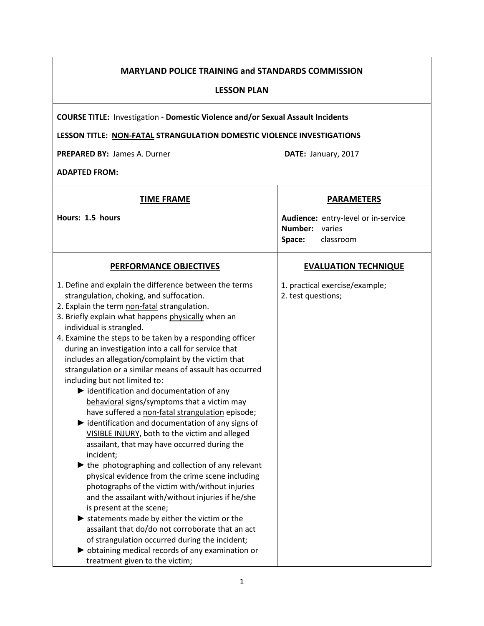# MARYLAND POLICE TRAINING and STANDARDS COMMISSION

#### LESSON PLAN

COURSE TITLE: Investigation - Domestic Violence and/or Sexual Assault Incidents

# LESSON TITLE: NON-FATAL STRANGULATION DOMESTIC VIOLENCE INVESTIGATIONS

PREPARED BY: James A. Durner DATE: January, 2017

ADAPTED FROM:

| <b>TIME FRAME</b>                                                                              | <b>PARAMETERS</b>                   |
|------------------------------------------------------------------------------------------------|-------------------------------------|
| Hours: 1.5 hours                                                                               | Audience: entry-level or in-service |
|                                                                                                | Number:<br>varies                   |
|                                                                                                | Space:<br>classroom                 |
| <b>PERFORMANCE OBJECTIVES</b>                                                                  | <b>EVALUATION TECHNIQUE</b>         |
| 1. Define and explain the difference between the terms                                         | 1. practical exercise/example;      |
| strangulation, choking, and suffocation.                                                       | 2. test questions;                  |
| 2. Explain the term non-fatal strangulation.                                                   |                                     |
| 3. Briefly explain what happens physically when an                                             |                                     |
| individual is strangled.                                                                       |                                     |
| 4. Examine the steps to be taken by a responding officer                                       |                                     |
| during an investigation into a call for service that                                           |                                     |
| includes an allegation/complaint by the victim that                                            |                                     |
| strangulation or a similar means of assault has occurred                                       |                                     |
| including but not limited to:<br>$\blacktriangleright$ identification and documentation of any |                                     |
| behavioral signs/symptoms that a victim may                                                    |                                     |
| have suffered a non-fatal strangulation episode;                                               |                                     |
| $\blacktriangleright$ identification and documentation of any signs of                         |                                     |
| VISIBLE INJURY, both to the victim and alleged                                                 |                                     |
| assailant, that may have occurred during the                                                   |                                     |
| incident;                                                                                      |                                     |
| $\blacktriangleright$ the photographing and collection of any relevant                         |                                     |
| physical evidence from the crime scene including                                               |                                     |
| photographs of the victim with/without injuries                                                |                                     |
| and the assailant with/without injuries if he/she                                              |                                     |
| is present at the scene;                                                                       |                                     |
| $\blacktriangleright$ statements made by either the victim or the                              |                                     |
| assailant that do/do not corroborate that an act                                               |                                     |
| of strangulation occurred during the incident;                                                 |                                     |
| b obtaining medical records of any examination or                                              |                                     |
| treatment given to the victim;                                                                 |                                     |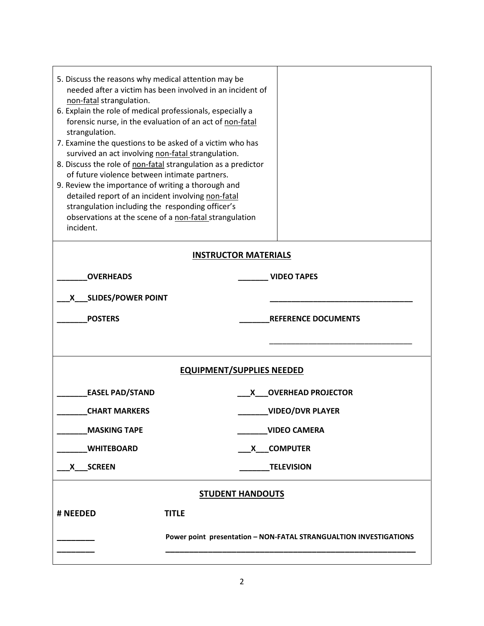| 5. Discuss the reasons why medical attention may be<br>non-fatal strangulation.<br>6. Explain the role of medical professionals, especially a<br>forensic nurse, in the evaluation of an act of non-fatal<br>strangulation.<br>7. Examine the questions to be asked of a victim who has<br>survived an act involving non-fatal strangulation.<br>8. Discuss the role of non-fatal strangulation as a predictor<br>of future violence between intimate partners.<br>9. Review the importance of writing a thorough and<br>detailed report of an incident involving non-fatal<br>strangulation including the responding officer's<br>observations at the scene of a non-fatal strangulation<br>incident. | needed after a victim has been involved in an incident of |                            |  |
|--------------------------------------------------------------------------------------------------------------------------------------------------------------------------------------------------------------------------------------------------------------------------------------------------------------------------------------------------------------------------------------------------------------------------------------------------------------------------------------------------------------------------------------------------------------------------------------------------------------------------------------------------------------------------------------------------------|-----------------------------------------------------------|----------------------------|--|
| <b>INSTRUCTOR MATERIALS</b>                                                                                                                                                                                                                                                                                                                                                                                                                                                                                                                                                                                                                                                                            |                                                           |                            |  |
| <b>OVERHEADS</b>                                                                                                                                                                                                                                                                                                                                                                                                                                                                                                                                                                                                                                                                                       |                                                           | <b>VIDEO TAPES</b>         |  |
| X____ SLIDES/POWER POINT                                                                                                                                                                                                                                                                                                                                                                                                                                                                                                                                                                                                                                                                               |                                                           |                            |  |
| <b>POSTERS</b>                                                                                                                                                                                                                                                                                                                                                                                                                                                                                                                                                                                                                                                                                         |                                                           | <b>REFERENCE DOCUMENTS</b> |  |
|                                                                                                                                                                                                                                                                                                                                                                                                                                                                                                                                                                                                                                                                                                        |                                                           |                            |  |
|                                                                                                                                                                                                                                                                                                                                                                                                                                                                                                                                                                                                                                                                                                        | <b>EQUIPMENT/SUPPLIES NEEDED</b>                          |                            |  |
| <b>EASEL PAD/STAND</b>                                                                                                                                                                                                                                                                                                                                                                                                                                                                                                                                                                                                                                                                                 | X —                                                       | <b>OVERHEAD PROJECTOR</b>  |  |
| <b>CHART MARKERS</b>                                                                                                                                                                                                                                                                                                                                                                                                                                                                                                                                                                                                                                                                                   | <b>VIDEO/DVR PLAYER</b>                                   |                            |  |
| <b>MASKING TAPE</b><br><b>VIDEO CAMERA</b>                                                                                                                                                                                                                                                                                                                                                                                                                                                                                                                                                                                                                                                             |                                                           |                            |  |
| <b>COMPUTER</b><br><b>WHITEBOARD</b><br><b>X</b>                                                                                                                                                                                                                                                                                                                                                                                                                                                                                                                                                                                                                                                       |                                                           |                            |  |
| X SCREEN<br><b>TELEVISION</b>                                                                                                                                                                                                                                                                                                                                                                                                                                                                                                                                                                                                                                                                          |                                                           |                            |  |
|                                                                                                                                                                                                                                                                                                                                                                                                                                                                                                                                                                                                                                                                                                        |                                                           |                            |  |
|                                                                                                                                                                                                                                                                                                                                                                                                                                                                                                                                                                                                                                                                                                        | <b>STUDENT HANDOUTS</b>                                   |                            |  |
| # NEEDED                                                                                                                                                                                                                                                                                                                                                                                                                                                                                                                                                                                                                                                                                               | <b>TITLE</b>                                              |                            |  |
| Power point presentation - NON-FATAL STRANGUALTION INVESTIGATIONS                                                                                                                                                                                                                                                                                                                                                                                                                                                                                                                                                                                                                                      |                                                           |                            |  |
|                                                                                                                                                                                                                                                                                                                                                                                                                                                                                                                                                                                                                                                                                                        |                                                           |                            |  |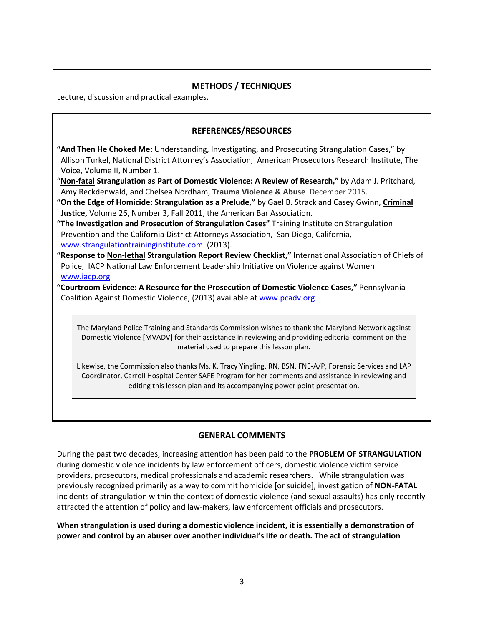# METHODS / TECHNIQUES

Lecture, discussion and practical examples.

# REFERENCES/RESOURCES

- "And Then He Choked Me: Understanding, Investigating, and Prosecuting Strangulation Cases," by Allison Turkel, National District Attorney's Association, American Prosecutors Research Institute, The Voice, Volume II, Number 1.
- "Non-fatal Strangulation as Part of Domestic Violence: A Review of Research," by Adam J. Pritchard, Amy Reckdenwald, and Chelsea Nordham, Trauma Violence & Abuse December 2015.
- "On the Edge of Homicide: Strangulation as a Prelude," by Gael B. Strack and Casey Gwinn, Criminal **Justice, Volume 26, Number 3, Fall 2011, the American Bar Association.**
- "The Investigation and Prosecution of Strangulation Cases" Training Institute on Strangulation Prevention and the California District Attorneys Association, San Diego, California, www.strangulationtraininginstitute.com (2013).
- "Response to Non-lethal Strangulation Report Review Checklist," International Association of Chiefs of Police, IACP National Law Enforcement Leadership Initiative on Violence against Women www.iacp.org
- "Courtroom Evidence: A Resource for the Prosecution of Domestic Violence Cases," Pennsylvania Coalition Against Domestic Violence, (2013) available at www.pcadv.org

The Maryland Police Training and Standards Commission wishes to thank the Maryland Network against Domestic Violence [MVADV] for their assistance in reviewing and providing editorial comment on the material used to prepare this lesson plan.

Likewise, the Commission also thanks Ms. K. Tracy Yingling, RN, BSN, FNE-A/P, Forensic Services and LAP Coordinator, Carroll Hospital Center SAFE Program for her comments and assistance in reviewing and editing this lesson plan and its accompanying power point presentation.

# GENERAL COMMENTS

During the past two decades, increasing attention has been paid to the PROBLEM OF STRANGULATION during domestic violence incidents by law enforcement officers, domestic violence victim service providers, prosecutors, medical professionals and academic researchers. While strangulation was previously recognized primarily as a way to commit homicide [or suicide], investigation of NON-FATAL incidents of strangulation within the context of domestic violence (and sexual assaults) has only recently attracted the attention of policy and law-makers, law enforcement officials and prosecutors.

When strangulation is used during a domestic violence incident, it is essentially a demonstration of power and control by an abuser over another individual's life or death. The act of strangulation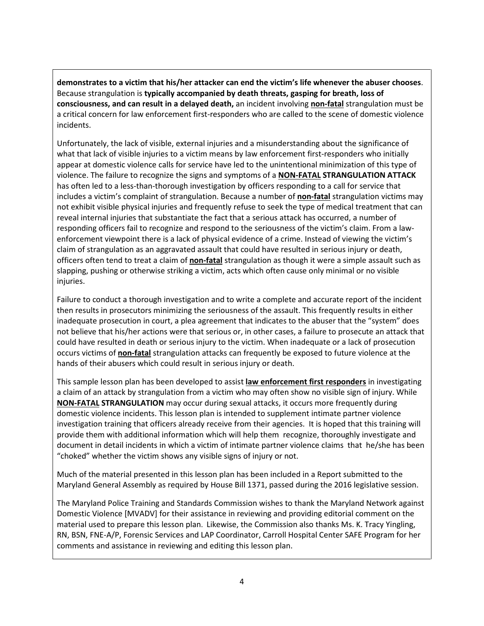demonstrates to a victim that his/her attacker can end the victim's life whenever the abuser chooses. Because strangulation is typically accompanied by death threats, gasping for breath, loss of consciousness, and can result in a delayed death, an incident involving non-fatal strangulation must be a critical concern for law enforcement first-responders who are called to the scene of domestic violence incidents.

Unfortunately, the lack of visible, external injuries and a misunderstanding about the significance of what that lack of visible injuries to a victim means by law enforcement first-responders who initially appear at domestic violence calls for service have led to the unintentional minimization of this type of violence. The failure to recognize the signs and symptoms of a NON-FATAL STRANGULATION ATTACK has often led to a less-than-thorough investigation by officers responding to a call for service that includes a victim's complaint of strangulation. Because a number of **non-fatal** strangulation victims may not exhibit visible physical injuries and frequently refuse to seek the type of medical treatment that can reveal internal injuries that substantiate the fact that a serious attack has occurred, a number of responding officers fail to recognize and respond to the seriousness of the victim's claim. From a lawenforcement viewpoint there is a lack of physical evidence of a crime. Instead of viewing the victim's claim of strangulation as an aggravated assault that could have resulted in serious injury or death, officers often tend to treat a claim of non-fatal strangulation as though it were a simple assault such as slapping, pushing or otherwise striking a victim, acts which often cause only minimal or no visible injuries.

Failure to conduct a thorough investigation and to write a complete and accurate report of the incident then results in prosecutors minimizing the seriousness of the assault. This frequently results in either inadequate prosecution in court, a plea agreement that indicates to the abuser that the "system" does not believe that his/her actions were that serious or, in other cases, a failure to prosecute an attack that could have resulted in death or serious injury to the victim. When inadequate or a lack of prosecution occurs victims of non-fatal strangulation attacks can frequently be exposed to future violence at the hands of their abusers which could result in serious injury or death.

This sample lesson plan has been developed to assist law enforcement first responders in investigating a claim of an attack by strangulation from a victim who may often show no visible sign of injury. While **NON-FATAL STRANGULATION** may occur during sexual attacks, it occurs more frequently during domestic violence incidents. This lesson plan is intended to supplement intimate partner violence investigation training that officers already receive from their agencies. It is hoped that this training will provide them with additional information which will help them recognize, thoroughly investigate and document in detail incidents in which a victim of intimate partner violence claims that he/she has been "choked" whether the victim shows any visible signs of injury or not.

Much of the material presented in this lesson plan has been included in a Report submitted to the Maryland General Assembly as required by House Bill 1371, passed during the 2016 legislative session.

The Maryland Police Training and Standards Commission wishes to thank the Maryland Network against Domestic Violence [MVADV] for their assistance in reviewing and providing editorial comment on the material used to prepare this lesson plan. Likewise, the Commission also thanks Ms. K. Tracy Yingling, RN, BSN, FNE-A/P, Forensic Services and LAP Coordinator, Carroll Hospital Center SAFE Program for her comments and assistance in reviewing and editing this lesson plan.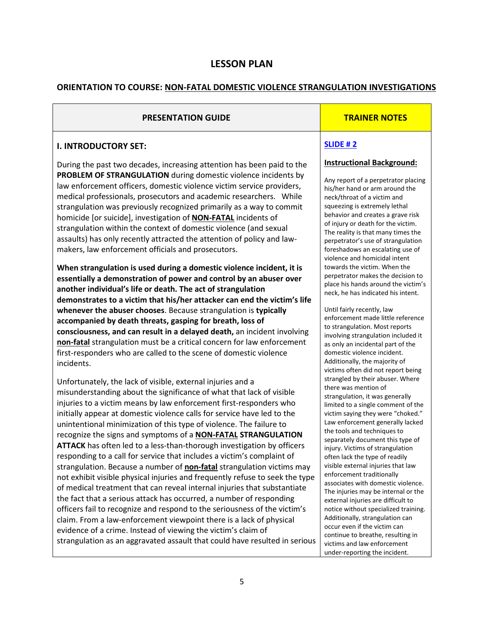# LESSON PLAN

# ORIENTATION TO COURSE: NON-FATAL DOMESTIC VIOLENCE STRANGULATION INVESTIGATIONS

# PRESENTATION GUIDE TRAINER NOTES

#### I. INTRODUCTORY SET:

During the past two decades, increasing attention has been paid to the PROBLEM OF STRANGULATION during domestic violence incidents by law enforcement officers, domestic violence victim service providers, medical professionals, prosecutors and academic researchers. While strangulation was previously recognized primarily as a way to commit homicide [or suicide], investigation of **NON-FATAL** incidents of strangulation within the context of domestic violence (and sexual assaults) has only recently attracted the attention of policy and lawmakers, law enforcement officials and prosecutors.

When strangulation is used during a domestic violence incident, it is essentially a demonstration of power and control by an abuser over another individual's life or death. The act of strangulation demonstrates to a victim that his/her attacker can end the victim's life whenever the abuser chooses. Because strangulation is typically accompanied by death threats, gasping for breath, loss of consciousness, and can result in a delayed death, an incident involving non-fatal strangulation must be a critical concern for law enforcement first-responders who are called to the scene of domestic violence incidents.

Unfortunately, the lack of visible, external injuries and a misunderstanding about the significance of what that lack of visible injuries to a victim means by law enforcement first-responders who initially appear at domestic violence calls for service have led to the unintentional minimization of this type of violence. The failure to recognize the signs and symptoms of a NON-FATAL STRANGULATION ATTACK has often led to a less-than-thorough investigation by officers responding to a call for service that includes a victim's complaint of strangulation. Because a number of **non-fatal** strangulation victims may not exhibit visible physical injuries and frequently refuse to seek the type of medical treatment that can reveal internal injuries that substantiate the fact that a serious attack has occurred, a number of responding officers fail to recognize and respond to the seriousness of the victim's claim. From a law-enforcement viewpoint there is a lack of physical evidence of a crime. Instead of viewing the victim's claim of strangulation as an aggravated assault that could have resulted in serious

#### SLIDE # 2

#### Instructional Background:

Any report of a perpetrator placing his/her hand or arm around the neck/throat of a victim and squeezing is extremely lethal behavior and creates a grave risk of injury or death for the victim. The reality is that many times the perpetrator's use of strangulation foreshadows an escalating use of violence and homicidal intent towards the victim. When the perpetrator makes the decision to place his hands around the victim's neck, he has indicated his intent.

Until fairly recently, law enforcement made little reference to strangulation. Most reports involving strangulation included it as only an incidental part of the domestic violence incident. Additionally, the majority of victims often did not report being strangled by their abuser. Where there was mention of strangulation, it was generally limited to a single comment of the victim saying they were "choked." Law enforcement generally lacked the tools and techniques to separately document this type of injury. Victims of strangulation often lack the type of readily visible external injuries that law enforcement traditionally associates with domestic violence. The injuries may be internal or the external injuries are difficult to notice without specialized training. Additionally, strangulation can occur even if the victim can continue to breathe, resulting in victims and law enforcement under-reporting the incident.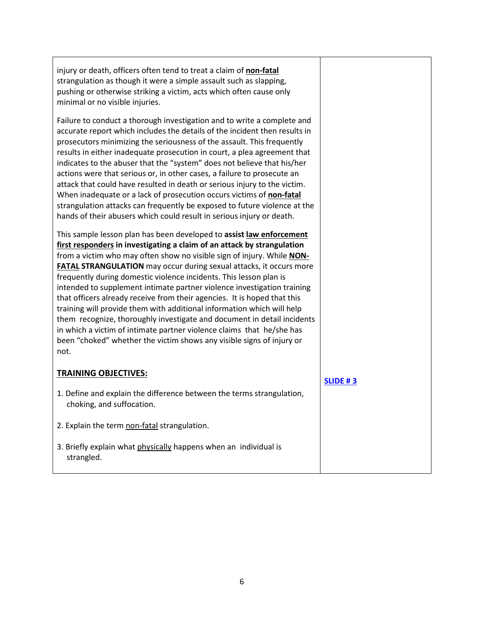| injury or death, officers often tend to treat a claim of non-fatal<br>strangulation as though it were a simple assault such as slapping,<br>pushing or otherwise striking a victim, acts which often cause only<br>minimal or no visible injuries.                                                                                                                                                                                                                                                                                                                                                                                                                                                                                                                                                                                                  |                 |
|-----------------------------------------------------------------------------------------------------------------------------------------------------------------------------------------------------------------------------------------------------------------------------------------------------------------------------------------------------------------------------------------------------------------------------------------------------------------------------------------------------------------------------------------------------------------------------------------------------------------------------------------------------------------------------------------------------------------------------------------------------------------------------------------------------------------------------------------------------|-----------------|
| Failure to conduct a thorough investigation and to write a complete and<br>accurate report which includes the details of the incident then results in<br>prosecutors minimizing the seriousness of the assault. This frequently<br>results in either inadequate prosecution in court, a plea agreement that<br>indicates to the abuser that the "system" does not believe that his/her<br>actions were that serious or, in other cases, a failure to prosecute an<br>attack that could have resulted in death or serious injury to the victim.<br>When inadequate or a lack of prosecution occurs victims of non-fatal<br>strangulation attacks can frequently be exposed to future violence at the<br>hands of their abusers which could result in serious injury or death.                                                                        |                 |
| This sample lesson plan has been developed to assist law enforcement<br>first responders in investigating a claim of an attack by strangulation<br>from a victim who may often show no visible sign of injury. While NON-<br><b>FATAL STRANGULATION</b> may occur during sexual attacks, it occurs more<br>frequently during domestic violence incidents. This lesson plan is<br>intended to supplement intimate partner violence investigation training<br>that officers already receive from their agencies. It is hoped that this<br>training will provide them with additional information which will help<br>them recognize, thoroughly investigate and document in detail incidents<br>in which a victim of intimate partner violence claims that he/she has<br>been "choked" whether the victim shows any visible signs of injury or<br>not. |                 |
| <b>TRAINING OBJECTIVES:</b>                                                                                                                                                                                                                                                                                                                                                                                                                                                                                                                                                                                                                                                                                                                                                                                                                         | <b>SLIDE #3</b> |
| 1. Define and explain the difference between the terms strangulation,<br>choking, and suffocation.                                                                                                                                                                                                                                                                                                                                                                                                                                                                                                                                                                                                                                                                                                                                                  |                 |
| 2. Explain the term non-fatal strangulation.                                                                                                                                                                                                                                                                                                                                                                                                                                                                                                                                                                                                                                                                                                                                                                                                        |                 |
| 3. Briefly explain what physically happens when an individual is<br>strangled.                                                                                                                                                                                                                                                                                                                                                                                                                                                                                                                                                                                                                                                                                                                                                                      |                 |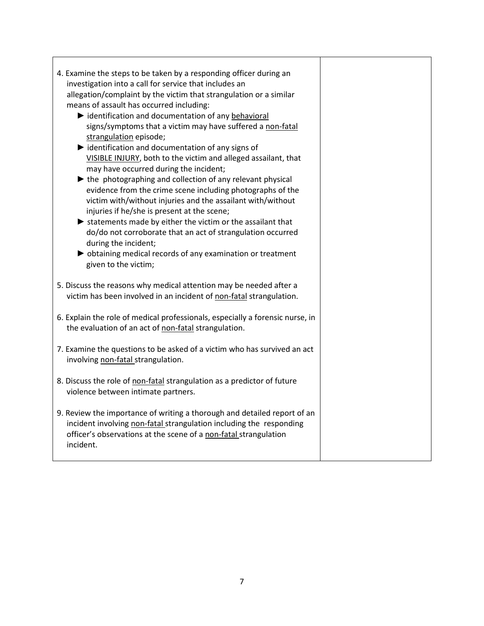| 4. Examine the steps to be taken by a responding officer during an<br>investigation into a call for service that includes an<br>allegation/complaint by the victim that strangulation or a similar<br>means of assault has occurred including:<br>identification and documentation of any behavioral<br>signs/symptoms that a victim may have suffered a non-fatal<br>strangulation episode;<br>identification and documentation of any signs of<br>VISIBLE INJURY, both to the victim and alleged assailant, that<br>may have occurred during the incident;<br>$\blacktriangleright$ the photographing and collection of any relevant physical<br>evidence from the crime scene including photographs of the<br>victim with/without injuries and the assailant with/without<br>injuries if he/she is present at the scene;<br>$\blacktriangleright$ statements made by either the victim or the assailant that<br>do/do not corroborate that an act of strangulation occurred<br>during the incident;<br>bobtaining medical records of any examination or treatment<br>given to the victim; |  |
|----------------------------------------------------------------------------------------------------------------------------------------------------------------------------------------------------------------------------------------------------------------------------------------------------------------------------------------------------------------------------------------------------------------------------------------------------------------------------------------------------------------------------------------------------------------------------------------------------------------------------------------------------------------------------------------------------------------------------------------------------------------------------------------------------------------------------------------------------------------------------------------------------------------------------------------------------------------------------------------------------------------------------------------------------------------------------------------------|--|
| 5. Discuss the reasons why medical attention may be needed after a<br>victim has been involved in an incident of non-fatal strangulation.                                                                                                                                                                                                                                                                                                                                                                                                                                                                                                                                                                                                                                                                                                                                                                                                                                                                                                                                                    |  |
| 6. Explain the role of medical professionals, especially a forensic nurse, in<br>the evaluation of an act of non-fatal strangulation.                                                                                                                                                                                                                                                                                                                                                                                                                                                                                                                                                                                                                                                                                                                                                                                                                                                                                                                                                        |  |
| 7. Examine the questions to be asked of a victim who has survived an act<br>involving non-fatal strangulation.                                                                                                                                                                                                                                                                                                                                                                                                                                                                                                                                                                                                                                                                                                                                                                                                                                                                                                                                                                               |  |
| 8. Discuss the role of non-fatal strangulation as a predictor of future<br>violence between intimate partners.                                                                                                                                                                                                                                                                                                                                                                                                                                                                                                                                                                                                                                                                                                                                                                                                                                                                                                                                                                               |  |
| 9. Review the importance of writing a thorough and detailed report of an<br>incident involving non-fatal strangulation including the responding<br>officer's observations at the scene of a non-fatal strangulation<br>incident.                                                                                                                                                                                                                                                                                                                                                                                                                                                                                                                                                                                                                                                                                                                                                                                                                                                             |  |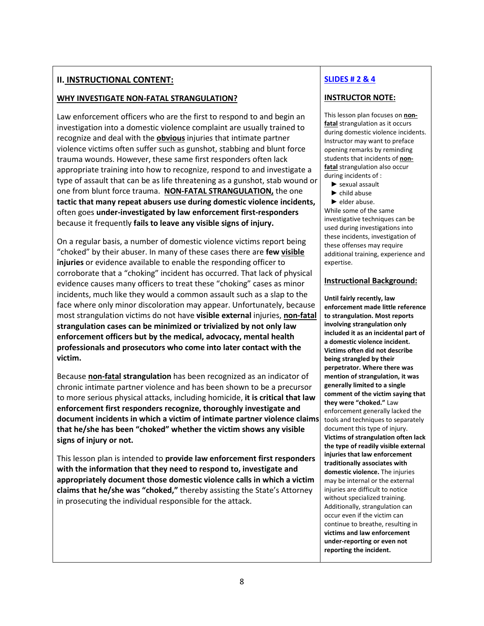# **II. INSTRUCTIONAL CONTENT:**

# WHY INVESTIGATE NON-FATAL STRANGULATION?

Law enforcement officers who are the first to respond to and begin an investigation into a domestic violence complaint are usually trained to recognize and deal with the **obvious** injuries that intimate partner violence victims often suffer such as gunshot, stabbing and blunt force trauma wounds. However, these same first responders often lack appropriate training into how to recognize, respond to and investigate a type of assault that can be as life threatening as a gunshot, stab wound or one from blunt force trauma. NON-FATAL STRANGULATION, the one tactic that many repeat abusers use during domestic violence incidents, often goes under-investigated by law enforcement first-responders because it frequently fails to leave any visible signs of injury.

On a regular basis, a number of domestic violence victims report being "choked" by their abuser. In many of these cases there are few visible injuries or evidence available to enable the responding officer to corroborate that a "choking" incident has occurred. That lack of physical evidence causes many officers to treat these "choking" cases as minor incidents, much like they would a common assault such as a slap to the face where only minor discoloration may appear. Unfortunately, because most strangulation victims do not have visible external injuries, non-fatal strangulation cases can be minimized or trivialized by not only law enforcement officers but by the medical, advocacy, mental health professionals and prosecutors who come into later contact with the victim.

Because non-fatal strangulation has been recognized as an indicator of chronic intimate partner violence and has been shown to be a precursor to more serious physical attacks, including homicide, it is critical that law enforcement first responders recognize, thoroughly investigate and document incidents in which a victim of intimate partner violence claims that he/she has been "choked" whether the victim shows any visible signs of injury or not.

This lesson plan is intended to provide law enforcement first responders with the information that they need to respond to, investigate and appropriately document those domestic violence calls in which a victim claims that he/she was "choked," thereby assisting the State's Attorney in prosecuting the individual responsible for the attack.

# SLIDES # 2 & 4

# INSTRUCTOR NOTE:

This lesson plan focuses on nonfatal strangulation as it occurs during domestic violence incidents. Instructor may want to preface opening remarks by reminding students that incidents of nonfatal strangulation also occur during incidents of :

- ► sexual assault
- ► child abuse
- ► elder abuse.

While some of the same investigative techniques can be used during investigations into these incidents, investigation of these offenses may require additional training, experience and expertise.

#### Instructional Background:

Until fairly recently, law enforcement made little reference to strangulation. Most reports involving strangulation only included it as an incidental part of a domestic violence incident. Victims often did not describe being strangled by their perpetrator. Where there was mention of strangulation, it was generally limited to a single comment of the victim saying that they were "choked." Law enforcement generally lacked the tools and techniques to separately document this type of injury. Victims of strangulation often lack the type of readily visible external injuries that law enforcement traditionally associates with domestic violence. The injuries may be internal or the external injuries are difficult to notice without specialized training. Additionally, strangulation can occur even if the victim can continue to breathe, resulting in victims and law enforcement under-reporting or even not reporting the incident.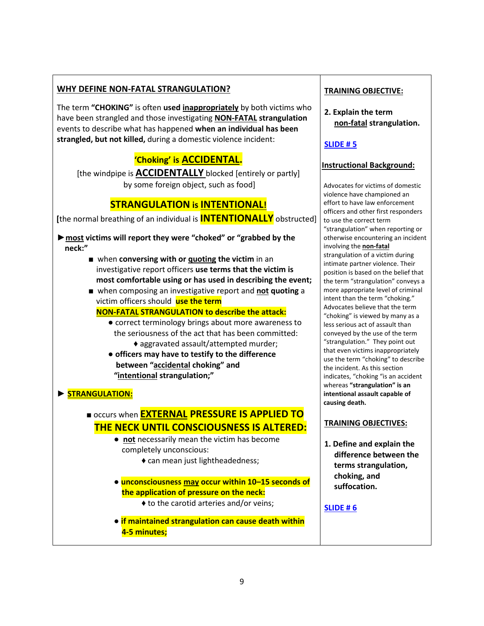# WHY DEFINE NON-FATAL STRANGULATION?

The term "CHOKING" is often used inappropriately by both victims who have been strangled and those investigating NON-FATAL strangulation events to describe what has happened when an individual has been strangled, but not killed, during a domestic violence incident:

# 'Choking' is ACCIDENTAL.

[the windpipe is **ACCIDENTALLY** blocked [entirely or partly] by some foreign object, such as food]

# STRANGULATION is INTENTIONAL!

[the normal breathing of an individual is **INTENTIONALLY** obstructed]

► most victims will report they were "choked" or "grabbed by the neck:"

- when conversing with or quoting the victim in an investigative report officers use terms that the victim is most comfortable using or has used in describing the event;
- when composing an investigative report and not quoting a victim officers should use the term

NON-FATAL STRANGULATION to describe the attack:

- correct terminology brings about more awareness to the seriousness of the act that has been committed: ♦ aggravated assault/attempted murder;
- officers may have to testify to the difference between "accidental choking" and "intentional strangulation;"

# ► STRANGULATION:

# **■ occurs when EXTERNAL PRESSURE IS APPLIED TO** THE NECK UNTIL CONSCIOUSNESS IS ALTERED:

- not necessarily mean the victim has become completely unconscious:
	- ♦ can mean just lightheadedness;
- unconsciousness may occur within 10–15 seconds of the application of pressure on the neck:
	- ♦ to the carotid arteries and/or veins;
- if maintained strangulation can cause death within 4-5 minutes;

# TRAINING OBJECTIVE:

2. Explain the term non-fatal strangulation.

# SLIDE # 5

# Instructional Background:

Advocates for victims of domestic violence have championed an effort to have law enforcement officers and other first responders to use the correct term "strangulation" when reporting or otherwise encountering an incident involving the non-fatal strangulation of a victim during intimate partner violence. Their position is based on the belief that the term "strangulation" conveys a more appropriate level of criminal intent than the term "choking." Advocates believe that the term "choking" is viewed by many as a less serious act of assault than conveyed by the use of the term "strangulation." They point out that even victims inappropriately use the term "choking" to describe the incident. As this section indicates, "choking "is an accident whereas "strangulation" is an intentional assault capable of causing death.

# TRAINING OBJECTIVES:

1. Define and explain the difference between the terms strangulation, choking, and suffocation.

SLIDE # 6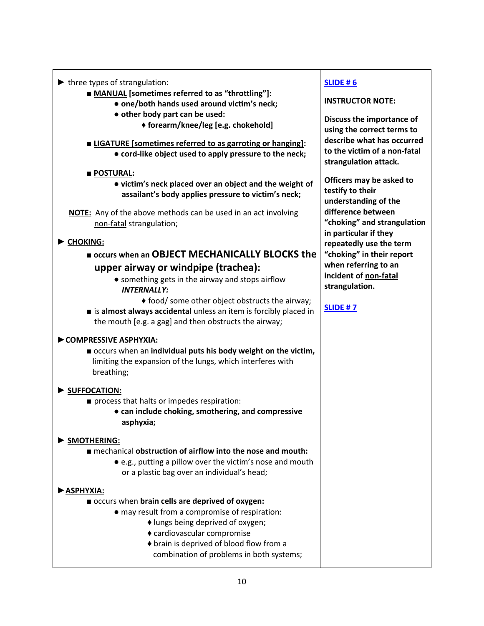- $\blacktriangleright$  three types of strangulation:
	- MANUAL [sometimes referred to as "throttling"]:
		- one/both hands used around victim's neck;
		- other body part can be used:
			- ♦ forearm/knee/leg [e.g. chokehold]
	- LIGATURE [sometimes referred to as garroting or hanging]: ● cord-like object used to apply pressure to the neck;
	- POSTURAL:
		- victim's neck placed over an object and the weight of assailant's body applies pressure to victim's neck;
	- **NOTE:** Any of the above methods can be used in an act involving non-fatal strangulation;

# ► CHOKING:

- occurs when an OBJECT MECHANICALLY BLOCKS the upper airway or windpipe (trachea):
	- something gets in the airway and stops airflow INTERNALLY:
		- ♦ food/ some other object obstructs the airway;
- $\blacksquare$  is almost always accidental unless an item is forcibly placed in the mouth [e.g. a gag] and then obstructs the airway;

# ►COMPRESSIVE ASPHYXIA:

■ occurs when an individual puts his body weight on the victim, limiting the expansion of the lungs, which interferes with breathing;

# ► SUFFOCATION:

- process that halts or impedes respiration:
	- can include choking, smothering, and compressive asphyxia;

# ► SMOTHERING:

- mechanical obstruction of airflow into the nose and mouth:
	- e.g., putting a pillow over the victim's nose and mouth or a plastic bag over an individual's head;

# ►ASPHYXIA:

- occurs when brain cells are deprived of oxygen:
	- may result from a compromise of respiration:
		- ♦ lungs being deprived of oxygen;
		- ♦ cardiovascular compromise
		- ♦ brain is deprived of blood flow from a combination of problems in both systems;

# SLIDE # 6

# INSTRUCTOR NOTE:

Discuss the importance of using the correct terms to describe what has occurred to the victim of a non-fatal strangulation attack.

Officers may be asked to testify to their understanding of the difference between "choking" and strangulation in particular if they repeatedly use the term "choking" in their report when referring to an incident of non-fatal strangulation.

# SLIDE # 7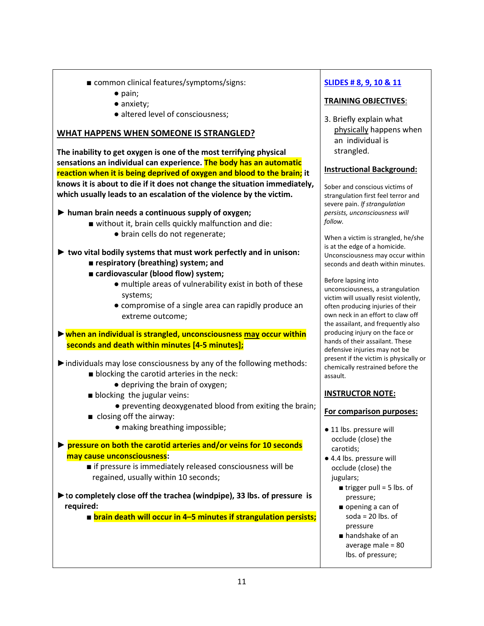- common clinical features/symptoms/signs:
	- pain;
	- anxiety;
	- altered level of consciousness:

# WHAT HAPPENS WHEN SOMEONE IS STRANGLED?

The inability to get oxygen is one of the most terrifying physical sensations an individual can experience. The body has an automatic reaction when it is being deprived of oxygen and blood to the brain; it knows it is about to die if it does not change the situation immediately, which usually leads to an escalation of the violence by the victim.

- $\triangleright$  human brain needs a continuous supply of oxygen;
	- without it, brain cells quickly malfunction and die:
		- brain cells do not regenerate;
- $\triangleright$  two vital bodily systems that must work perfectly and in unison:
	- respiratory (breathing) system; and
	- cardiovascular (blood flow) system;
		- $\bullet$  multiple areas of vulnerability exist in both of these systems;
		- compromise of a single area can rapidly produce an extreme outcome;

► when an individual is strangled, unconsciousness may occur within seconds and death within minutes [4-5 minutes];

 $\triangleright$  individuals may lose consciousness by any of the following methods:

- blocking the carotid arteries in the neck:
	- depriving the brain of oxygen;
- blocking the jugular veins:
	- preventing deoxygenated blood from exiting the brain;
- closing off the airway:
	- making breathing impossible;
- ► pressure on both the carotid arteries and/or veins for 10 seconds may cause unconsciousness:

■ if pressure is immediately released consciousness will be regained, usually within 10 seconds;

►to completely close off the trachea (windpipe), 33 lbs. of pressure is required:

■ brain death will occur in 4–5 minutes if strangulation persists;

# SLIDES # 8, 9, 10 & 11

# TRAINING OBJECTIVES:

3. Briefly explain what physically happens when an individual is strangled.

#### Instructional Background:

Sober and conscious victims of strangulation first feel terror and severe pain. If strangulation persists, unconsciousness will follow.

When a victim is strangled, he/she is at the edge of a homicide. Unconsciousness may occur within seconds and death within minutes.

Before lapsing into unconsciousness, a strangulation victim will usually resist violently, often producing injuries of their own neck in an effort to claw off the assailant, and frequently also producing injury on the face or hands of their assailant. These defensive injuries may not be present if the victim is physically or chemically restrained before the assault.

#### INSTRUCTOR NOTE:

#### For comparison purposes:

- 11 lbs. pressure will occlude (close) the carotids;
- 4.4 lbs. pressure will occlude (close) the jugulars;
	- $\blacksquare$  trigger pull = 5 lbs. of pressure;
	- opening a can of soda =  $20$  lbs. of pressure
	- handshake of an average male = 80 lbs. of pressure;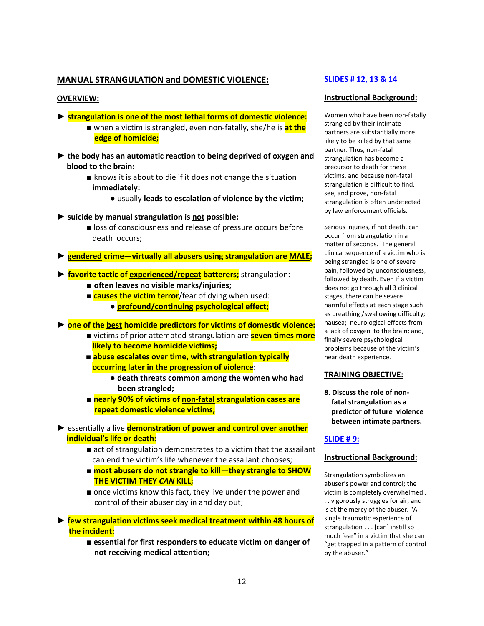# MANUAL STRANGULATION and DOMESTIC VIOLENCE:

# OVERVIEW:

- ► strangulation is one of the most lethal forms of domestic violence: ■ when a victim is strangled, even non-fatally, she/he is **at the** edge of homicide;
- ► the body has an automatic reaction to being deprived of oxygen and blood to the brain:
	- knows it is about to die if it does not change the situation immediately:
		- usually leads to escalation of violence by the victim;
- $\triangleright$  suicide by manual strangulation is not possible:
	- loss of consciousness and release of pressure occurs before death occurs;
- ► gendered crime—virtually all abusers using strangulation are MALE;
- ► favorite tactic of experienced/repeat batterers; strangulation:
	- often leaves no visible marks/injuries;
	- causes the victim terror/fear of dying when used:
		- profound/continuing psychological effect;

► one of the best homicide predictors for victims of domestic violence:

- victims of prior attempted strangulation are **seven times more** likely to become homicide victims;
- abuse escalates over time, with strangulation typically occurring later in the progression of violence:
	- death threats common among the women who had been strangled;
- nearly 90% of victims of non-fatal strangulation cases are repeat domestic violence victims;
- ► essentially a live demonstration of power and control over another individual's life or death:
	- act of strangulation demonstrates to a victim that the assailant can end the victim's life whenever the assailant chooses;
	- most abusers do not strangle to kill—they strangle to SHOW **THE VICTIM THEY CAN KILL;**
	- once victims know this fact, they live under the power and control of their abuser day in and day out;
- ► few strangulation victims seek medical treatment within 48 hours of the incident:
	- essential for first responders to educate victim on danger of not receiving medical attention;

# SLIDES # 12, 13 & 14

# Instructional Background:

Women who have been non-fatally strangled by their intimate partners are substantially more likely to be killed by that same partner. Thus, non-fatal strangulation has become a precursor to death for these victims, and because non-fatal strangulation is difficult to find, see, and prove, non-fatal strangulation is often undetected by law enforcement officials.

Serious injuries, if not death, can occur from strangulation in a matter of seconds. The general clinical sequence of a victim who is being strangled is one of severe pain, followed by unconsciousness, followed by death. Even if a victim does not go through all 3 clinical stages, there can be severe harmful effects at each stage such as breathing /swallowing difficulty; nausea; neurological effects from a lack of oxygen to the brain; and, finally severe psychological problems because of the victim's near death experience.

# TRAINING OBJECTIVE:

8. Discuss the role of non fatal strangulation as a predictor of future violence between intimate partners.

# SLIDE # 9:

# Instructional Background:

Strangulation symbolizes an abuser's power and control; the victim is completely overwhelmed . . . vigorously struggles for air, and is at the mercy of the abuser. "A single traumatic experience of strangulation . . . [can] instill so much fear" in a victim that she can "get trapped in a pattern of control by the abuser."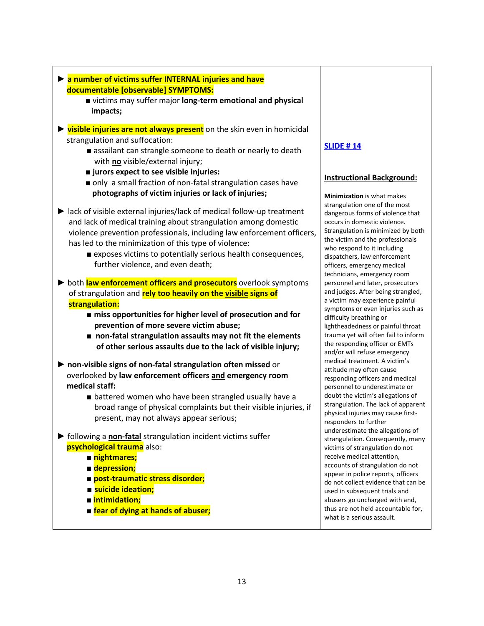| laint and number of victims suffer INTERNAL injuries and have<br>documentable [observable] SYMPTOMS:<br>victims may suffer major long-term emotional and physical                                                                                                                                                                                                                        |                                                                                                                                                                                                                                                                                                                          |
|------------------------------------------------------------------------------------------------------------------------------------------------------------------------------------------------------------------------------------------------------------------------------------------------------------------------------------------------------------------------------------------|--------------------------------------------------------------------------------------------------------------------------------------------------------------------------------------------------------------------------------------------------------------------------------------------------------------------------|
| impacts;                                                                                                                                                                                                                                                                                                                                                                                 |                                                                                                                                                                                                                                                                                                                          |
| $\triangleright$ visible injuries are not always present on the skin even in homicidal<br>strangulation and suffocation:                                                                                                                                                                                                                                                                 |                                                                                                                                                                                                                                                                                                                          |
| assailant can strangle someone to death or nearly to death<br>with no visible/external injury;                                                                                                                                                                                                                                                                                           | <b>SLIDE #14</b>                                                                                                                                                                                                                                                                                                         |
| ■ jurors expect to see visible injuries:<br>only a small fraction of non-fatal strangulation cases have                                                                                                                                                                                                                                                                                  | <b>Instructional Background:</b>                                                                                                                                                                                                                                                                                         |
| photographs of victim injuries or lack of injuries;                                                                                                                                                                                                                                                                                                                                      | Minimization is what makes                                                                                                                                                                                                                                                                                               |
| lack of visible external injuries/lack of medical follow-up treatment<br>and lack of medical training about strangulation among domestic<br>violence prevention professionals, including law enforcement officers,<br>has led to the minimization of this type of violence:<br>■ exposes victims to potentially serious health consequences,<br>further violence, and even death;        | strangulation one of the most<br>dangerous forms of violence that<br>occurs in domestic violence.<br>Strangulation is minimized by both<br>the victim and the professionals<br>who respond to it including<br>dispatchers, law enforcement<br>officers, emergency medical<br>technicians, emergency room                 |
| both law enforcement officers and prosecutors overlook symptoms<br>of strangulation and rely too heavily on the visible signs of<br>strangulation:<br>miss opportunities for higher level of prosecution and for<br>prevention of more severe victim abuse;<br>non-fatal strangulation assaults may not fit the elements<br>of other serious assaults due to the lack of visible injury; | personnel and later, prosecutors<br>and judges. After being strangled,<br>a victim may experience painful<br>symptoms or even injuries such as<br>difficulty breathing or<br>lightheadedness or painful throat<br>trauma yet will often fail to inform<br>the responding officer or EMTs<br>and/or will refuse emergency |
| non-visible signs of non-fatal strangulation often missed or<br>overlooked by law enforcement officers and emergency room                                                                                                                                                                                                                                                                | medical treatment. A victim's<br>attitude may often cause<br>responding officers and medical                                                                                                                                                                                                                             |
| medical staff:                                                                                                                                                                                                                                                                                                                                                                           | personnel to underestimate or                                                                                                                                                                                                                                                                                            |
| battered women who have been strangled usually have a                                                                                                                                                                                                                                                                                                                                    | doubt the victim's allegations of                                                                                                                                                                                                                                                                                        |
| broad range of physical complaints but their visible injuries, if<br>present, may not always appear serious;                                                                                                                                                                                                                                                                             | strangulation. The lack of apparent<br>physical injuries may cause first-<br>responders to further                                                                                                                                                                                                                       |
| $\blacktriangleright$ following a <b>non-fatal</b> strangulation incident victims suffer                                                                                                                                                                                                                                                                                                 | underestimate the allegations of<br>strangulation. Consequently, many                                                                                                                                                                                                                                                    |
| psychological trauma also:                                                                                                                                                                                                                                                                                                                                                               | victims of strangulation do not                                                                                                                                                                                                                                                                                          |
| nightmares;                                                                                                                                                                                                                                                                                                                                                                              | receive medical attention,                                                                                                                                                                                                                                                                                               |
| depression;                                                                                                                                                                                                                                                                                                                                                                              | accounts of strangulation do not<br>appear in police reports, officers                                                                                                                                                                                                                                                   |
| post-traumatic stress disorder;                                                                                                                                                                                                                                                                                                                                                          | do not collect evidence that can be                                                                                                                                                                                                                                                                                      |
| ■ suicide ideation;                                                                                                                                                                                                                                                                                                                                                                      | used in subsequent trials and                                                                                                                                                                                                                                                                                            |
| ■ intimidation;                                                                                                                                                                                                                                                                                                                                                                          | abusers go uncharged with and,                                                                                                                                                                                                                                                                                           |
| <b>E</b> fear of dying at hands of abuser;                                                                                                                                                                                                                                                                                                                                               | thus are not held accountable for,<br>what is a serious assault.                                                                                                                                                                                                                                                         |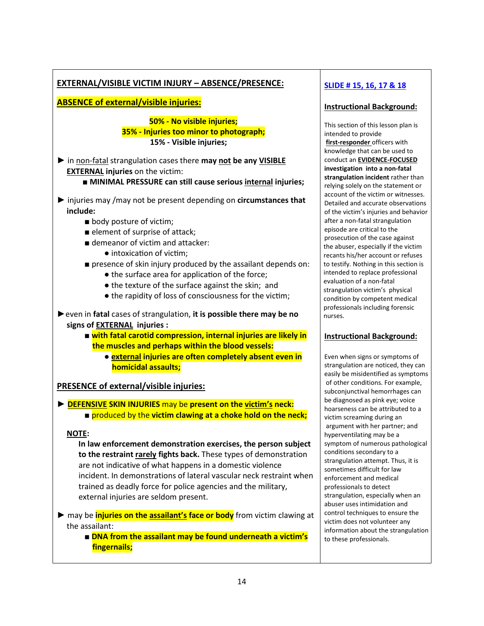# EXTERNAL/VISIBLE VICTIM INJURY – ABSENCE/PRESENCE:

ABSENCE of external/visible injuries:

# 50% - No visible injuries; 35% - Injuries too minor to photograph; 15% - Visible injuries;

- ▶ in non-fatal strangulation cases there may not be any VISIBLE EXTERNAL injuries on the victim:
	- MINIMAL PRESSURE can still cause serious internal injuries;
- ► injuries may /may not be present depending on circumstances that include:
	- body posture of victim;
	- element of surprise of attack;
	- demeanor of victim and attacker:
		- intoxication of victim:
	- presence of skin injury produced by the assailant depends on:
		- the surface area for application of the force;
		- the texture of the surface against the skin; and
		- the rapidity of loss of consciousness for the victim;
- ► even in fatal cases of strangulation, it is possible there may be no signs of EXTERNAL injuries :
	- with fatal carotid compression, internal injuries are likely in the muscles and perhaps within the blood vessels:
		- external injuries are often completely absent even in homicidal assaults;

#### PRESENCE of external/visible injuries:

► DEFENSIVE SKIN INJURIES may be present on the victim's neck: ■ produced by the victim clawing at a choke hold on the neck;

#### NOTE:

 In law enforcement demonstration exercises, the person subject to the restraint rarely fights back. These types of demonstration are not indicative of what happens in a domestic violence incident. In demonstrations of lateral vascular neck restraint when trained as deadly force for police agencies and the military, external injuries are seldom present.

► may be *injuries on the assailant's face or body* from victim clawing at the assailant:

> ■ DNA from the assailant may be found underneath a victim's fingernails;

# SLIDE # 15, 16, 17 & 18

# Instructional Background:

This section of this lesson plan is intended to provide first-responder officers with knowledge that can be used to conduct an EVIDENCE-FOCUSED investigation into a non-fatal strangulation incident rather than relying solely on the statement or account of the victim or witnesses. Detailed and accurate observations of the victim's injuries and behavior after a non-fatal strangulation episode are critical to the prosecution of the case against the abuser, especially if the victim recants his/her account or refuses to testify. Nothing in this section is intended to replace professional evaluation of a non-fatal strangulation victim's physical condition by competent medical professionals including forensic nurses.

#### Instructional Background:

Even when signs or symptoms of strangulation are noticed, they can easily be misidentified as symptoms of other conditions. For example, subconjunctival hemorrhages can be diagnosed as pink eye; voice hoarseness can be attributed to a victim screaming during an argument with her partner; and hyperventilating may be a symptom of numerous pathological conditions secondary to a strangulation attempt. Thus, it is sometimes difficult for law enforcement and medical professionals to detect strangulation, especially when an abuser uses intimidation and control techniques to ensure the victim does not volunteer any information about the strangulation to these professionals.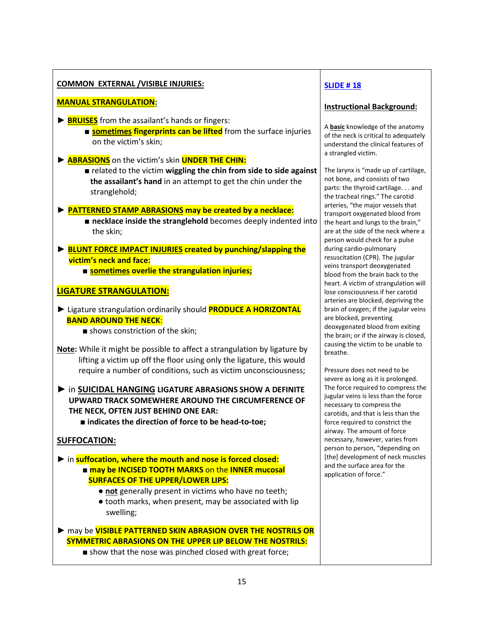# COMMON EXTERNAL /VISIBLE INJURIES:

# MANUAL STRANGULATION:

- ► **BRUISES** from the assailant's hands or fingers:
	- **sometimes fingerprints can be lifted** from the surface injuries on the victim's skin;
- ► **ABRASIONS** on the victim's skin **UNDER THE CHIN:** 
	- related to the victim wiggling the chin from side to side against the assailant's hand in an attempt to get the chin under the stranglehold;
- ► PATTERNED STAMP ABRASIONS may be created by a necklace:
	- necklace inside the stranglehold becomes deeply indented into the skin;
- ► BLUNT FORCE IMPACT INJURIES created by punching/slapping the victim's neck and face: ■ sometimes overlie the strangulation injuries;

# LIGATURE STRANGULATION:

- ► Ligature strangulation ordinarily should **PRODUCE A HORIZONTAL**  BAND AROUND THE NECK:
	- shows constriction of the skin;
- Note: While it might be possible to affect a strangulation by ligature by lifting a victim up off the floor using only the ligature, this would require a number of conditions, such as victim unconsciousness;
- ► in SUICIDAL HANGING LIGATURE ABRASIONS SHOW A DEFINITE UPWARD TRACK SOMEWHERE AROUND THE CIRCUMFERENCE OF THE NECK, OFTEN JUST BEHIND ONE EAR:
	- indicates the direction of force to be head-to-toe;

# SUFFOCATION:

- ► in suffocation, where the mouth and nose is forced closed: ■ may be INCISED TOOTH MARKS on the INNER mucosal SURFACES OF THE UPPER/LOWER LIPS:
	- not generally present in victims who have no teeth;
	- tooth marks, when present, may be associated with lip swelling;
- ► may be VISIBLE PATTERNED SKIN ABRASION OVER THE NOSTRILS OR SYMMETRIC ABRASIONS ON THE UPPER LIP BELOW THE NOSTRILS:
	- show that the nose was pinched closed with great force;

# SLIDE # 18

#### Instructional Background:

A **basic** knowledge of the anatomy of the neck is critical to adequately understand the clinical features of a strangled victim.

The larynx is "made up of cartilage, not bone, and consists of two parts: the thyroid cartilage. . . and the tracheal rings." The carotid arteries, "the major vessels that transport oxygenated blood from the heart and lungs to the brain," are at the side of the neck where a person would check for a pulse during cardio-pulmonary resuscitation (CPR). The jugular veins transport deoxygenated blood from the brain back to the heart. A victim of strangulation will lose consciousness if her carotid arteries are blocked, depriving the brain of oxygen; if the jugular veins are blocked, preventing deoxygenated blood from exiting the brain; or if the airway is closed, causing the victim to be unable to breathe.

Pressure does not need to be severe as long as it is prolonged. The force required to compress the jugular veins is less than the force necessary to compress the carotids, and that is less than the force required to constrict the airway. The amount of force necessary, however, varies from person to person, "depending on [the] development of neck muscles and the surface area for the application of force."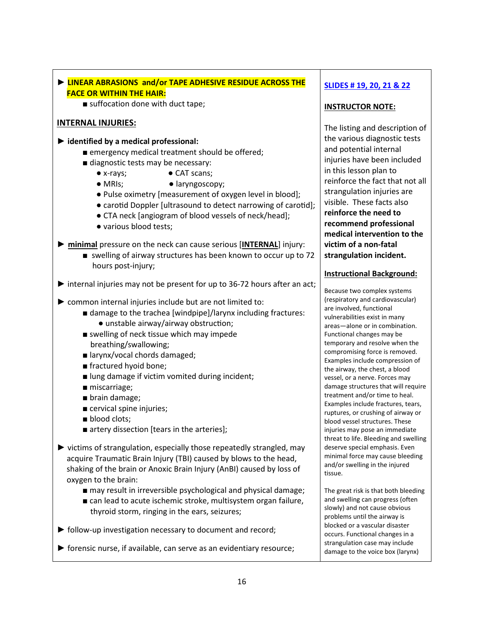| EINEAR ABRASIONS and/or TAPE ADHESIVE RESIDUE ACROSS THE                                   | <b>SLIDES #19, 20, 21 &amp; 22</b>                                   |
|--------------------------------------------------------------------------------------------|----------------------------------------------------------------------|
| <b>FACE OR WITHIN THE HAIR:</b><br>suffocation done with duct tape;                        |                                                                      |
|                                                                                            | <b>INSTRUCTOR NOTE:</b>                                              |
| <b>INTERNAL INJURIES:</b>                                                                  | The listing and description of                                       |
| $\blacktriangleright$ identified by a medical professional:                                | the various diagnostic tests                                         |
| ■ emergency medical treatment should be offered;                                           | and potential internal                                               |
| diagnostic tests may be necessary:                                                         | injuries have been included                                          |
| • CAT scans;<br>$\bullet$ x-rays;                                                          | in this lesson plan to                                               |
| $\bullet$ MRIs;<br>· laryngoscopy;                                                         | reinforce the fact that not all                                      |
| • Pulse oximetry [measurement of oxygen level in blood];                                   | strangulation injuries are                                           |
| • carotid Doppler [ultrasound to detect narrowing of carotid];                             | visible. These facts also<br>reinforce the need to                   |
| • CTA neck [angiogram of blood vessels of neck/head];                                      | recommend professional                                               |
| · various blood tests;                                                                     | medical intervention to the                                          |
| minimal pressure on the neck can cause serious [INTERNAL] injury:                          | victim of a non-fatal                                                |
| swelling of airway structures has been known to occur up to 72                             | strangulation incident.                                              |
| hours post-injury;                                                                         |                                                                      |
|                                                                                            | <b>Instructional Background:</b>                                     |
| internal injuries may not be present for up to 36-72 hours after an act;                   |                                                                      |
|                                                                                            | Because two complex systems<br>(respiratory and cardiovascular)      |
| ▶ common internal injuries include but are not limited to:                                 | are involved, functional                                             |
| ■ damage to the trachea [windpipe]/larynx including fractures:                             | vulnerabilities exist in many                                        |
| • unstable airway/airway obstruction;<br>swelling of neck tissue which may impede          | areas-alone or in combination.                                       |
| breathing/swallowing;                                                                      | Functional changes may be<br>temporary and resolve when the          |
| ■ larynx/vocal chords damaged;                                                             | compromising force is removed.                                       |
| fractured hyoid bone;                                                                      | Examples include compression of                                      |
| I lung damage if victim vomited during incident;                                           | the airway, the chest, a blood<br>vessel, or a nerve. Forces may     |
| miscarriage;                                                                               | damage structures that will require                                  |
| brain damage;                                                                              | treatment and/or time to heal.                                       |
| cervical spine injuries;                                                                   | Examples include fractures, tears,                                   |
| blood clots;                                                                               | ruptures, or crushing of airway or<br>blood vessel structures. These |
| artery dissection [tears in the arteries];                                                 | injuries may pose an immediate                                       |
|                                                                                            | threat to life. Bleeding and swelling                                |
| $\blacktriangleright$ victims of strangulation, especially those repeatedly strangled, may | deserve special emphasis. Even                                       |
| acquire Traumatic Brain Injury (TBI) caused by blows to the head,                          | minimal force may cause bleeding<br>and/or swelling in the injured   |
| shaking of the brain or Anoxic Brain Injury (AnBI) caused by loss of                       | tissue.                                                              |
| oxygen to the brain:                                                                       |                                                                      |
| may result in irreversible psychological and physical damage;                              | The great risk is that both bleeding                                 |
| ■ can lead to acute ischemic stroke, multisystem organ failure,                            | and swelling can progress (often<br>slowly) and not cause obvious    |
| thyroid storm, ringing in the ears, seizures;                                              | problems until the airway is                                         |

► follow-up investigation necessary to document and record;

► forensic nurse, if available, can serve as an evidentiary resource;

# damage to the voice box (larynx)

blocked or a vascular disaster occurs. Functional changes in a strangulation case may include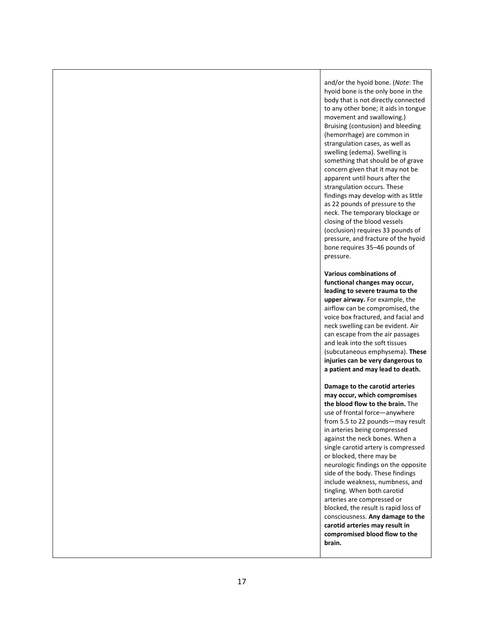and/or the hyoid bone. (Note: The hyoid bone is the only bone in the body that is not directly connected to any other bone; it aids in tongue movement and swallowing.) Bruising (contusion) and bleeding (hemorrhage) are common in strangulation cases, as well as swelling (edema). Swelling is something that should be of grave concern given that it may not be apparent until hours after the strangulation occurs. These findings may develop with as little as 22 pounds of pressure to the neck. The temporary blockage or closing of the blood vessels (occlusion) requires 33 pounds of pressure, and fracture of the hyoid bone requires 35–46 pounds of pressure.

Various combinations of functional changes may occur, leading to severe trauma to the upper airway. For example, the airflow can be compromised, the voice box fractured, and facial and neck swelling can be evident. Air can escape from the air passages and leak into the soft tissues (subcutaneous emphysema). These injuries can be very dangerous to a patient and may lead to death.

Damage to the carotid arteries may occur, which compromises the blood flow to the brain. The use of frontal force—anywhere from 5.5 to 22 pounds—may result in arteries being compressed against the neck bones. When a single carotid artery is compressed or blocked, there may be neurologic findings on the opposite side of the body. These findings include weakness, numbness, and tingling. When both carotid arteries are compressed or blocked, the result is rapid loss of consciousness. Any damage to the carotid arteries may result in compromised blood flow to the brain.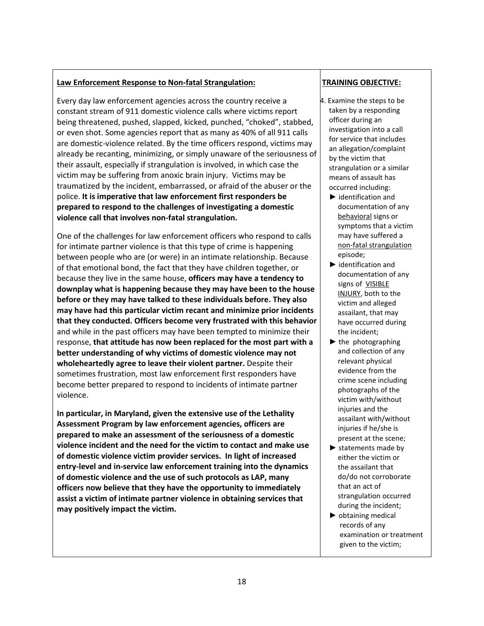# Law Enforcement Response to Non-fatal Strangulation:

Every day law enforcement agencies across the country receive a constant stream of 911 domestic violence calls where victims report being threatened, pushed, slapped, kicked, punched, "choked", stabbed, or even shot. Some agencies report that as many as 40% of all 911 calls are domestic-violence related. By the time officers respond, victims may already be recanting, minimizing, or simply unaware of the seriousness of their assault, especially if strangulation is involved, in which case the victim may be suffering from anoxic brain injury. Victims may be traumatized by the incident, embarrassed, or afraid of the abuser or the police. It is imperative that law enforcement first responders be prepared to respond to the challenges of investigating a domestic violence call that involves non-fatal strangulation.

One of the challenges for law enforcement officers who respond to calls for intimate partner violence is that this type of crime is happening between people who are (or were) in an intimate relationship. Because of that emotional bond, the fact that they have children together, or because they live in the same house, officers may have a tendency to downplay what is happening because they may have been to the house before or they may have talked to these individuals before. They also may have had this particular victim recant and minimize prior incidents that they conducted. Officers become very frustrated with this behavior and while in the past officers may have been tempted to minimize their response, that attitude has now been replaced for the most part with a better understanding of why victims of domestic violence may not wholeheartedly agree to leave their violent partner. Despite their sometimes frustration, most law enforcement first responders have become better prepared to respond to incidents of intimate partner violence.

In particular, in Maryland, given the extensive use of the Lethality Assessment Program by law enforcement agencies, officers are prepared to make an assessment of the seriousness of a domestic violence incident and the need for the victim to contact and make use of domestic violence victim provider services. In light of increased entry-level and in-service law enforcement training into the dynamics of domestic violence and the use of such protocols as LAP, many officers now believe that they have the opportunity to immediately assist a victim of intimate partner violence in obtaining services that may positively impact the victim.

# TRAINING OBJECTIVE:

- 4. Examine the steps to be taken by a responding officer during an investigation into a call for service that includes an allegation/complaint by the victim that strangulation or a similar means of assault has occurred including:
	- ► identification and documentation of any behavioral signs or symptoms that a victim may have suffered a non-fatal strangulation episode;
	- ► identification and documentation of any signs of VISIBLE INJURY, both to the victim and alleged assailant, that may have occurred during the incident;
	- $\blacktriangleright$  the photographing and collection of any relevant physical evidence from the crime scene including photographs of the victim with/without injuries and the assailant with/without injuries if he/she is present at the scene;
	- $\blacktriangleright$  statements made by either the victim or the assailant that do/do not corroborate that an act of strangulation occurred during the incident;
	- ► obtaining medical records of any examination or treatment given to the victim;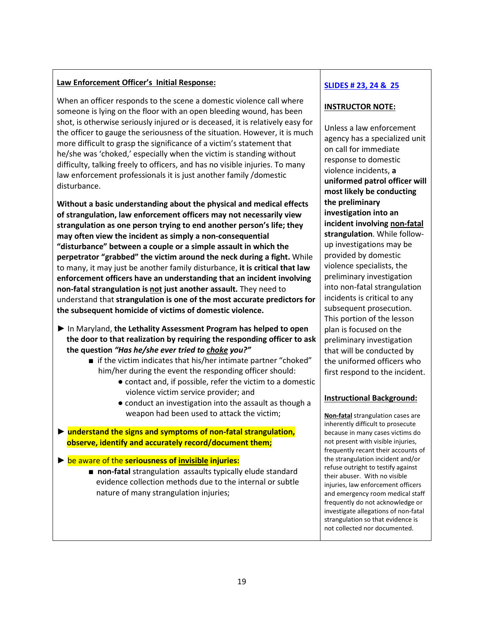# Law Enforcement Officer's Initial Response:

When an officer responds to the scene a domestic violence call where someone is lying on the floor with an open bleeding wound, has been shot, is otherwise seriously injured or is deceased, it is relatively easy for the officer to gauge the seriousness of the situation. However, it is much more difficult to grasp the significance of a victim's statement that he/she was 'choked,' especially when the victim is standing without difficulty, talking freely to officers, and has no visible injuries. To many law enforcement professionals it is just another family /domestic disturbance.

Without a basic understanding about the physical and medical effects of strangulation, law enforcement officers may not necessarily view strangulation as one person trying to end another person's life; they may often view the incident as simply a non-consequential "disturbance" between a couple or a simple assault in which the perpetrator "grabbed" the victim around the neck during a fight. While to many, it may just be another family disturbance, it is critical that law enforcement officers have an understanding that an incident involving non-fatal strangulation is not just another assault. They need to understand that strangulation is one of the most accurate predictors for the subsequent homicide of victims of domestic violence.

- ► In Maryland, the Lethality Assessment Program has helped to open the door to that realization by requiring the responding officer to ask the question "Has he/she ever tried to choke you?"
	- if the victim indicates that his/her intimate partner "choked" him/her during the event the responding officer should:
		- contact and, if possible, refer the victim to a domestic violence victim service provider; and
		- conduct an investigation into the assault as though a weapon had been used to attack the victim;
- ► understand the signs and symptoms of non-fatal strangulation, observe, identify and accurately record/document them;

 $\triangleright$  be aware of the seriousness of invisible injuries:

■ non-fatal strangulation assaults typically elude standard evidence collection methods due to the internal or subtle nature of many strangulation injuries;

# SLIDES # 23, 24 & 25

# INSTRUCTOR NOTE:

Unless a law enforcement agency has a specialized unit on call for immediate response to domestic violence incidents, a uniformed patrol officer will most likely be conducting the preliminary investigation into an incident involving non-fatal strangulation. While followup investigations may be provided by domestic violence specialists, the preliminary investigation into non-fatal strangulation incidents is critical to any subsequent prosecution. This portion of the lesson plan is focused on the preliminary investigation that will be conducted by the uniformed officers who first respond to the incident.

#### Instructional Background:

Non-fatal strangulation cases are inherently difficult to prosecute because in many cases victims do not present with visible injuries, frequently recant their accounts of the strangulation incident and/or refuse outright to testify against their abuser. With no visible injuries, law enforcement officers and emergency room medical staff frequently do not acknowledge or investigate allegations of non-fatal strangulation so that evidence is not collected nor documented.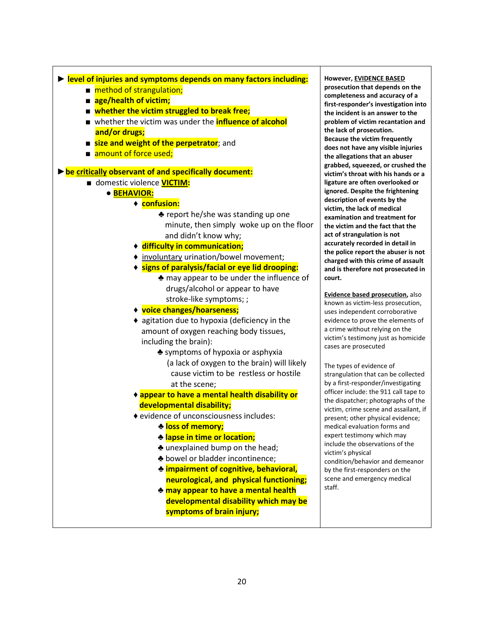| lacktriangleright Perezi of Industry levels Superset Previoles: |
|-----------------------------------------------------------------|
| ■ method of strangulation;                                      |
| ■ age/health of victim;                                         |
| ■ whether the victim struggled to break free;                   |
| ■ whether the victim was under the <b>influence of alcohol</b>  |
| and/or drugs;                                                   |
| <b>E</b> size and weight of the perpetrator; and                |
| ■ amount of force used;                                         |
| be critically observant of and specifically document:           |
| domestic violence <b>VICTIM:</b>                                |
| · BEHAVIOR:                                                     |
| ◆ confusion:                                                    |
| $\triangle$ report he/she was standing up one                   |
| minute, then simply woke up on the floor                        |
| and didn't know why;                                            |
| ♦ difficulty in communication;                                  |
| ◆ involuntary urination/bowel movement;                         |
| ◆ signs of paralysis/facial or eye lid drooping:                |
| A may appear to be under the influence of                       |
| drugs/alcohol or appear to have                                 |
| stroke-like symptoms;;                                          |
| ◆ voice changes/hoarseness;                                     |
| ◆ agitation due to hypoxia (deficiency in the                   |
| amount of oxygen reaching body tissues,                         |
| including the brain):                                           |
| ► symptoms of hypoxia or asphyxia                               |
| (a lack of oxygen to the brain) will likely                     |
| cause victim to be restless or hostile                          |
| at the scene;                                                   |
| ◆ appear to have a mental health disability or                  |
| developmental disability;                                       |
| ♦ evidence of unconsciousness includes:                         |
| <u> ♣ loss of memory;</u>                                       |
| <b>Mapse in time or location;</b>                               |
| Let unexplained bump on the head;                               |
| $\clubsuit$ bowel or bladder incontinence;                      |
| <b>* impairment of cognitive, behavioral,</b>                   |
| neurological, and physical functioning;                         |
| Le may appear to have a mental health                           |
| developmental disability which may be                           |
| symptoms of brain injury;                                       |

vever, <u>EVIDENCE BASED</u> secution that depends on the npleteness and accuracy of a t-responder's investigation into incident is an answer to the blem of victim recantation and lack of prosecution. ause the victim frequently s not have any visible injuries allegations that an abuser bbed, squeezed, or crushed the im's throat with his hands or a ture are often overlooked or ored. Despite the frightening cription of events by the im, the lack of medical mination and treatment for victim and the fact that the of strangulation is not urately recorded in detail in police report the abuser is not rged with this crime of assault is therefore not prosecuted in rt.

dence based prosecution, also wn as victim-less prosecution, s independent corroborative lence to prove the elements of ime without relying on the im's testimony just as homicide es are prosecuted

types of evidence of ngulation that can be collected first-responder/investigating cer include: the 911 call tape to dispatcher; photographs of the im, crime scene and assailant, if sent; other physical evidence; dical evaluation forms and ert testimony which may ude the observations of the im's physical dition/behavior and demeanor he first-responders on the ne and emergency medical f.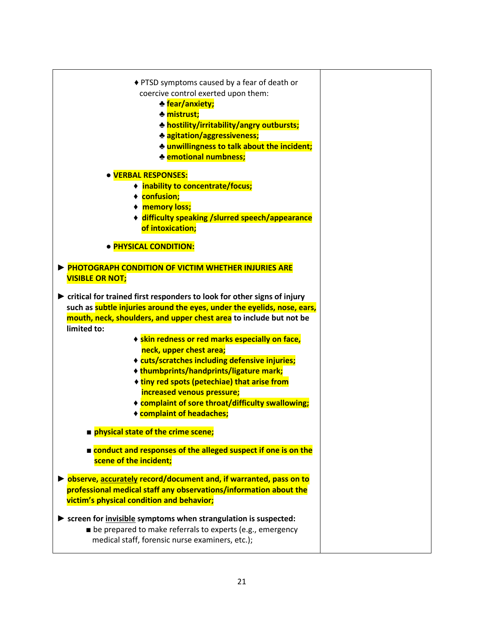| ♦ PTSD symptoms caused by a fear of death or<br>coercive control exerted upon them:<br><b>M</b> fear/anxiety;<br>♣ mistrust;<br><b>* hostility/irritability/angry outbursts;</b><br>♣ agitation/aggressiveness;<br>* unwillingness to talk about the incident;<br><b>Example 10 and 11 stage 10 mm</b> |  |
|--------------------------------------------------------------------------------------------------------------------------------------------------------------------------------------------------------------------------------------------------------------------------------------------------------|--|
| <b>. VERBAL RESPONSES:</b><br>♦ inability to concentrate/focus;<br>◆ confusion;<br>◆ memory loss;<br>+ difficulty speaking / slurred speech/appearance<br>of intoxication;<br>· PHYSICAL CONDITION:                                                                                                    |  |
| <b>PHOTOGRAPH CONDITION OF VICTIM WHETHER INJURIES ARE</b><br><b>VISIBLE OR NOT;</b><br>$\blacktriangleright$ critical for trained first responders to look for other signs of injury<br>such as subtle injuries around the eyes, under the eyelids, nose, ears,                                       |  |
| mouth, neck, shoulders, and upper chest area to include but not be<br>limited to:<br>◆ skin redness or red marks especially on face,<br>neck, upper chest area;<br>♦ cuts/scratches including defensive injuries;<br>◆ thumbprints/handprints/ligature mark;                                           |  |
| ◆ tiny red spots (petechiae) that arise from<br>increased venous pressure;<br>◆ complaint of sore throat/difficulty swallowing;<br>◆ complaint of headaches;<br>physical state of the crime scene;                                                                                                     |  |
| conduct and responses of the alleged suspect if one is on the<br>scene of the incident;                                                                                                                                                                                                                |  |
| ▶ observe, accurately record/document and, if warranted, pass on to<br>professional medical staff any observations/information about the<br>victim's physical condition and behavior;                                                                                                                  |  |
| $\triangleright$ screen for invisible symptoms when strangulation is suspected:<br>be prepared to make referrals to experts (e.g., emergency<br>medical staff, forensic nurse examiners, etc.);                                                                                                        |  |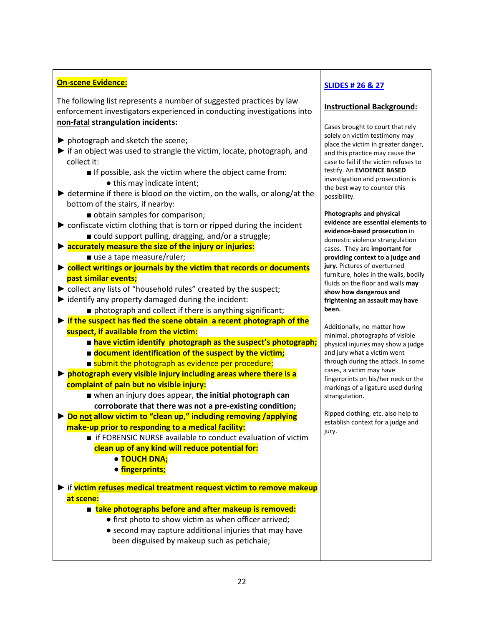# On-scene Evidence:

The following list represents a number of suggested practices by law enforcement investigators experienced in conducting investigations into non-fatal strangulation incidents:

- $\blacktriangleright$  photograph and sketch the scene;
- ► if an object was used to strangle the victim, locate, photograph, and collect it:
	- If possible, ask the victim where the object came from:
		- this may indicate intent;
- $\blacktriangleright$  determine if there is blood on the victim, on the walls, or along/at the bottom of the stairs, if nearby:
	- obtain samples for comparison;
- ► confiscate victim clothing that is torn or ripped during the incident ■ could support pulling, dragging, and/or a struggle;
- ► accurately measure the size of the injury or injuries: ■ use a tape measure/ruler;
- ► collect writings or journals by the victim that records or documents past similar events;
- ► collect any lists of "household rules" created by the suspect;
- ► identify any property damaged during the incident:
	- photograph and collect if there is anything significant;
- ► if the suspect has fled the scene obtain a recent photograph of the suspect, if available from the victim:
	- have victim identify photograph as the suspect's photograph;
	- document identification of the suspect by the victim;
	- submit the photograph as evidence per procedure;
- ► photograph every visible injury including areas where there is a complaint of pain but no visible injury:
	- when an injury does appear, the initial photograph can corroborate that there was not a pre-existing condition;
- ► Do not allow victim to "clean up," including removing /applying make-up prior to responding to a medical facility:
	- if FORENSIC NURSE available to conduct evaluation of victim clean up of any kind will reduce potential for:
		- TOUCH DNA;
		- fingerprints;
- ► if victim refuses medical treatment request victim to remove makeup at scene:
	- take photographs before and after makeup is removed:
		- first photo to show victim as when officer arrived;
		- second may capture additional injuries that may have been disguised by makeup such as petichaie;

# SLIDES # 26 & 27

# Instructional Background:

Cases brought to court that rely solely on victim testimony may place the victim in greater danger, and this practice may cause the case to fail if the victim refuses to testify. An EVIDENCE BASED investigation and prosecution is the best way to counter this possibility.

Photographs and physical evidence are essential elements to evidence-based prosecution in domestic violence strangulation cases. They are important for providing context to a judge and jury. Pictures of overturned furniture, holes in the walls, bodily fluids on the floor and walls may show how dangerous and frightening an assault may have been.

Additionally, no matter how minimal, photographs of visible physical injuries may show a judge and jury what a victim went through during the attack. In some cases, a victim may have fingerprints on his/her neck or the markings of a ligature used during strangulation.

Ripped clothing, etc. also help to establish context for a judge and jury.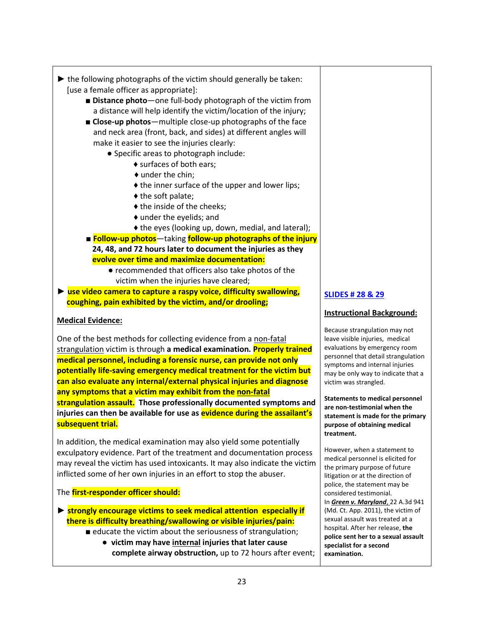- $\blacktriangleright$  the following photographs of the victim should generally be taken: [use a female officer as appropriate]:
	- Distance photo one full-body photograph of the victim from a distance will help identify the victim/location of the injury;
	- Close-up photos-multiple close-up photographs of the face and neck area (front, back, and sides) at different angles will make it easier to see the injuries clearly:
		- Specific areas to photograph include:
			- ♦ surfaces of both ears;
				- ♦ under the chin;
				- $\triangle$  the inner surface of the upper and lower lips;
				- ♦ the soft palate;
				- $\triangle$  the inside of the cheeks:
				- ♦ under the eyelids; and
				- ♦ the eyes (looking up, down, medial, and lateral);
	- Follow-up photos-taking follow-up photographs of the injury 24, 48, and 72 hours later to document the injuries as they evolve over time and maximize documentation:
		- recommended that officers also take photos of the victim when the injuries have cleared;
- $\triangleright$  use video camera to capture a raspy voice, difficulty swallowing, coughing, pain exhibited by the victim, and/or drooling;

#### Medical Evidence:

One of the best methods for collecting evidence from a non-fatal strangulation victim is through a medical examination. **Properly trained** medical personnel, including a forensic nurse, can provide not only potentially life-saving emergency medical treatment for the victim but can also evaluate any internal/external physical injuries and diagnose any symptoms that a victim may exhibit from the non-fatal strangulation assault. Those professionally documented symptoms and injuries can then be available for use as evidence during the assailant's subsequent trial.

In addition, the medical examination may also yield some potentially exculpatory evidence. Part of the treatment and documentation process may reveal the victim has used intoxicants. It may also indicate the victim inflicted some of her own injuries in an effort to stop the abuser.

#### The **first-responder officer should:**

- ► strongly encourage victims to seek medical attention especially if there is difficulty breathing/swallowing or visible injuries/pain:
	- educate the victim about the seriousness of strangulation; ● victim may have internal injuries that later cause complete airway obstruction, up to 72 hours after event;

# SLIDES # 28 & 29

#### Instructional Background:

Because strangulation may not leave visible injuries, medical evaluations by emergency room personnel that detail strangulation symptoms and internal injuries may be only way to indicate that a victim was strangled.

Statements to medical personnel are non-testimonial when the statement is made for the primary purpose of obtaining medical treatment.

However, when a statement to medical personnel is elicited for the primary purpose of future litigation or at the direction of police, the statement may be considered testimonial. In Green v. Maryland, 22 A.3d 941 (Md. Ct. App. 2011), the victim of sexual assault was treated at a hospital. After her release, the police sent her to a sexual assault specialist for a second examination.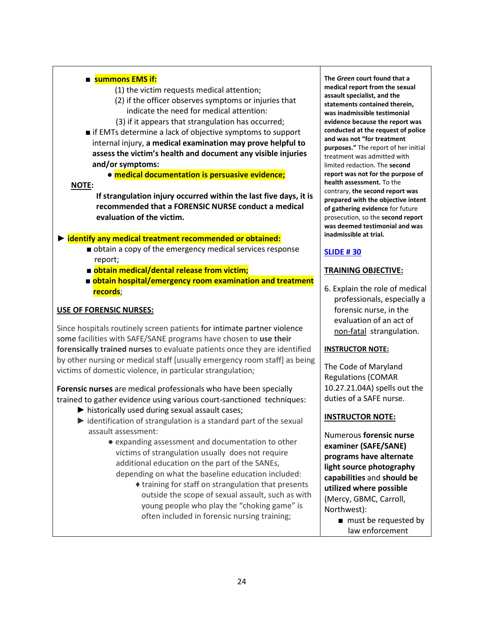#### ■ summons EMS if:

(1) the victim requests medical attention;

- (2) if the officer observes symptoms or injuries that indicate the need for medical attention:
- (3) if it appears that strangulation has occurred;
- if EMTs determine a lack of objective symptoms to support internal injury, a medical examination may prove helpful to assess the victim's health and document any visible injuries and/or symptoms:

● medical documentation is persuasive evidence;

#### NOTE:

 If strangulation injury occurred within the last five days, it is recommended that a FORENSIC NURSE conduct a medical evaluation of the victim.

#### ► identify any medical treatment recommended or obtained:

- obtain a copy of the emergency medical services response report;
- obtain medical/dental release from victim;
- **obtain hospital/emergency room examination and treatment** records;

#### USE OF FORENSIC NURSES:

Since hospitals routinely screen patients for intimate partner violence some facilities with SAFE/SANE programs have chosen to use their forensically trained nurses to evaluate patients once they are identified by other nursing or medical staff [usually emergency room staff] as being victims of domestic violence, in particular strangulation;

Forensic nurses are medical professionals who have been specially trained to gather evidence using various court-sanctioned techniques:

- $\blacktriangleright$  historically used during sexual assault cases;
- $\blacktriangleright$  identification of strangulation is a standard part of the sexual assault assessment:
	- expanding assessment and documentation to other victims of strangulation usually does not require additional education on the part of the SANEs, depending on what the baseline education included:
		- ♦ training for staff on strangulation that presents outside the scope of sexual assault, such as with young people who play the "choking game" is often included in forensic nursing training;

The Green court found that a medical report from the sexual assault specialist, and the statements contained therein, was inadmissible testimonial evidence because the report was conducted at the request of police and was not "for treatment purposes." The report of her initial treatment was admitted with limited redaction. The second report was not for the purpose of health assessment. To the contrary, the second report was prepared with the objective intent of gathering evidence for future prosecution, so the second report was deemed testimonial and was inadmissible at trial.

# SLIDE # 30

#### TRAINING OBJECTIVE:

6. Explain the role of medical professionals, especially a forensic nurse, in the evaluation of an act of non-fatal strangulation.

#### INSTRUCTOR NOTE:

The Code of Maryland Regulations (COMAR 10.27.21.04A) spells out the duties of a SAFE nurse.

#### INSTRUCTOR NOTE:

Numerous forensic nurse examiner (SAFE/SANE) programs have alternate light source photography capabilities and should be utilized where possible (Mercy, GBMC, Carroll, Northwest):

> ■ must be requested by law enforcement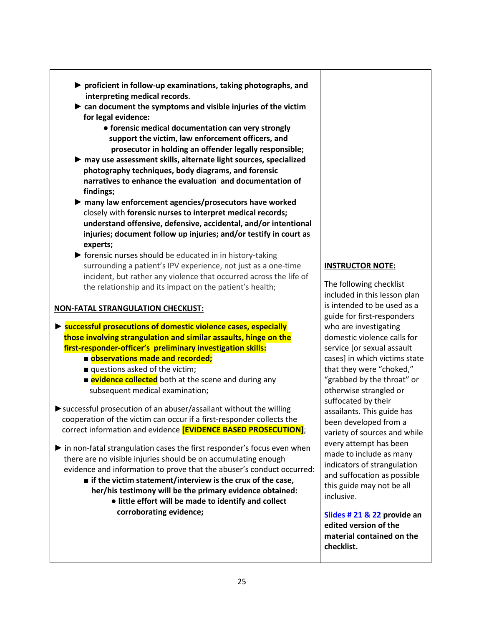- ► proficient in follow-up examinations, taking photographs, and interpreting medical records.
- $\triangleright$  can document the symptoms and visible injuries of the victim for legal evidence:
	- forensic medical documentation can very strongly support the victim, law enforcement officers, and prosecutor in holding an offender legally responsible;
- ► may use assessment skills, alternate light sources, specialized photography techniques, body diagrams, and forensic narratives to enhance the evaluation and documentation of findings;
- ► many law enforcement agencies/prosecutors have worked closely with forensic nurses to interpret medical records; understand offensive, defensive, accidental, and/or intentional injuries; document follow up injuries; and/or testify in court as experts;
- ► forensic nurses should be educated in in history-taking surrounding a patient's IPV experience, not just as a one-time incident, but rather any violence that occurred across the life of the relationship and its impact on the patient's health;

# NON-FATAL STRANGULATION CHECKLIST:

► successful prosecutions of domestic violence cases, especially those involving strangulation and similar assaults, hinge on the first-responder-officer's preliminary investigation skills:

- observations made and recorded;
- questions asked of the victim;
- **evidence collected** both at the scene and during any subsequent medical examination;
- ▶ successful prosecution of an abuser/assailant without the willing cooperation of the victim can occur if a first-responder collects the correct information and evidence **[EVIDENCE BASED PROSECUTION]**;
- ► in non-fatal strangulation cases the first responder's focus even when there are no visible injuries should be on accumulating enough evidence and information to prove that the abuser's conduct occurred:
	- $\blacksquare$  if the victim statement/interview is the crux of the case, her/his testimony will be the primary evidence obtained:
		- little effort will be made to identify and collect corroborating evidence;

# INSTRUCTOR NOTE:

The following checklist included in this lesson plan is intended to be used as a guide for first-responders who are investigating domestic violence calls for service [or sexual assault cases] in which victims state that they were "choked," "grabbed by the throat" or otherwise strangled or suffocated by their assailants. This guide has been developed from a variety of sources and while every attempt has been made to include as many indicators of strangulation and suffocation as possible this guide may not be all inclusive.

Slides # 21 & 22 provide an edited version of the material contained on the checklist.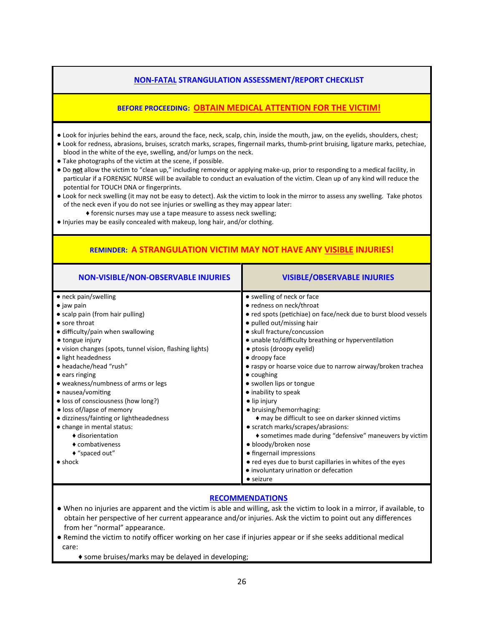### NON-FATAL STRANGULATION ASSESSMENT/REPORT CHECKLIST

# BEFORE PROCEEDING: OBTAIN MEDICAL ATTENTION FOR THE VICTIM!

- Look for injuries behind the ears, around the face, neck, scalp, chin, inside the mouth, jaw, on the eyelids, shoulders, chest;
- Look for redness, abrasions, bruises, scratch marks, scrapes, fingernail marks, thumb-print bruising, ligature marks, petechiae, blood in the white of the eye, swelling, and/or lumps on the neck.
- Take photographs of the victim at the scene, if possible.
- Do not allow the victim to "clean up," including removing or applying make-up, prior to responding to a medical facility, in particular if a FORENSIC NURSE will be available to conduct an evaluation of the victim. Clean up of any kind will reduce the potential for TOUCH DNA or fingerprints.
- Look for neck swelling (it may not be easy to detect). Ask the victim to look in the mirror to assess any swelling. Take photos of the neck even if you do not see injuries or swelling as they may appear later:
	- ♦ forensic nurses may use a tape measure to assess neck swelling;
- Injuries may be easily concealed with makeup, long hair, and/or clothing.

# REMINDER: A STRANGULATION VICTIM MAY NOT HAVE ANY VISIBLE INJURIES!

| NON-VISIBLE/NON-OBSERVABLE INJURIES                      | <b>VISIBLE/OBSERVABLE INJURIES</b>                              |
|----------------------------------------------------------|-----------------------------------------------------------------|
| • neck pain/swelling                                     | • swelling of neck or face                                      |
| $\bullet$ jaw pain                                       | • redness on neck/throat                                        |
| • scalp pain (from hair pulling)                         | • red spots (petichiae) on face/neck due to burst blood vessels |
| $\bullet$ sore throat                                    | • pulled out/missing hair                                       |
| • difficulty/pain when swallowing                        | • skull fracture/concussion                                     |
| • tongue injury                                          | • unable to/difficulty breathing or hyperventilation            |
| • vision changes (spots, tunnel vision, flashing lights) | • ptosis (droopy eyelid)                                        |
| • light headedness                                       | $\bullet$ droopy face                                           |
| • headache/head "rush"                                   | • raspy or hoarse voice due to narrow airway/broken trachea     |
| $\bullet$ ears ringing                                   | $\bullet$ coughing                                              |
| • weakness/numbness of arms or legs                      | • swollen lips or tongue                                        |
| • nausea/vomiting                                        | · inability to speak                                            |
| • loss of consciousness (how long?)                      | · lip injury                                                    |
| · loss of/lapse of memory                                | · bruising/hemorrhaging:                                        |
| • dizziness/fainting or lightheadedness                  | ◆ may be difficult to see on darker skinned victims             |
| • change in mental status:                               | • scratch marks/scrapes/abrasions:                              |
| ♦ disorientation                                         | ◆ sometimes made during "defensive" maneuvers by victim         |
| ♦ combativeness                                          | · bloody/broken nose                                            |
| $*$ "spaced out"                                         | • fingernail impressions                                        |
| $\bullet$ shock                                          | • red eyes due to burst capillaries in whites of the eyes       |
|                                                          | • involuntary urination or defecation                           |
|                                                          | $\bullet$ seizure                                               |

#### RECOMMENDATIONS

- When no injuries are apparent and the victim is able and willing, ask the victim to look in a mirror, if available, to obtain her perspective of her current appearance and/or injuries. Ask the victim to point out any differences from her "normal" appearance.
- Remind the victim to notify officer working on her case if injuries appear or if she seeks additional medical care:
	- ♦ some bruises/marks may be delayed in developing;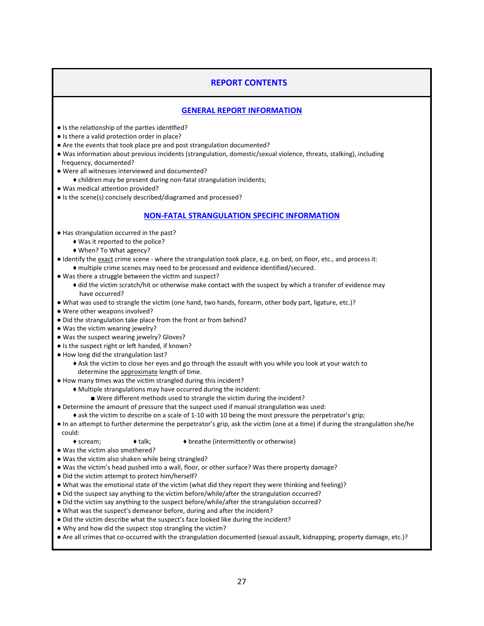#### REPORT CONTENTS

#### GENERAL REPORT INFORMATION

- $\bullet$  Is the relationship of the parties identified?
- Is there a valid protection order in place?
- Are the events that took place pre and post strangulation documented?
- Was information about previous incidents (strangulation, domestic/sexual violence, threats, stalking), including frequency, documented?
- Were all witnesses interviewed and documented?
- ♦ children may be present during non-fatal strangulation incidents;
- Was medical attention provided?
- Is the scene(s) concisely described/diagramed and processed?

#### NON-FATAL STRANGULATION SPECIFIC INFORMATION

- Has strangulation occurred in the past?
	- ♦ Was it reported to the police?
	- ♦ When? To What agency?
- Identify the exact crime scene where the strangulation took place, e.g. on bed, on floor, etc., and process it: ♦ multiple crime scenes may need to be processed and evidence identified/secured.
- Was there a struggle between the victim and suspect?
	- ♦ did the victim scratch/hit or otherwise make contact with the suspect by which a transfer of evidence may have occurred?
- What was used to strangle the victim (one hand, two hands, forearm, other body part, ligature, etc.)?
- Were other weapons involved?
- Did the strangulation take place from the front or from behind?
- Was the victim wearing jewelry?
- Was the suspect wearing jewelry? Gloves?
- $\bullet$  Is the suspect right or left handed, if known?
- How long did the strangulation last?
	- ♦ Ask the victim to close her eyes and go through the assault with you while you look at your watch to determine the approximate length of time.
- . How many times was the victim strangled during this incident?
	- ♦ Multiple strangulations may have occurred during the incident:
		- Were different methods used to strangle the victim during the incident?
- Determine the amount of pressure that the suspect used if manual strangulation was used:
- ♦ ask the victim to describe on a scale of 1-10 with 10 being the most pressure the perpetrator's grip;
- In an attempt to further determine the perpetrator's grip, ask the victim (one at a time) if during the strangulation she/he could:
	- - $\bullet$  scream;  $\bullet$  talk;  $\bullet$  breathe (intermittently or otherwise)
- Was the victim also smothered?
- Was the victim also shaken while being strangled?
- Was the victim's head pushed into a wall, floor, or other surface? Was there property damage?
- Did the victim attempt to protect him/herself?
- What was the emotional state of the victim (what did they report they were thinking and feeling)?
- Did the suspect say anything to the victim before/while/after the strangulation occurred?
- Did the victim say anything to the suspect before/while/after the strangulation occurred?
- What was the suspect's demeanor before, during and after the incident?
- Did the victim describe what the suspect's face looked like during the incident?
- Why and how did the suspect stop strangling the victim?
- Are all crimes that co-occurred with the strangulation documented (sexual assault, kidnapping, property damage, etc.)?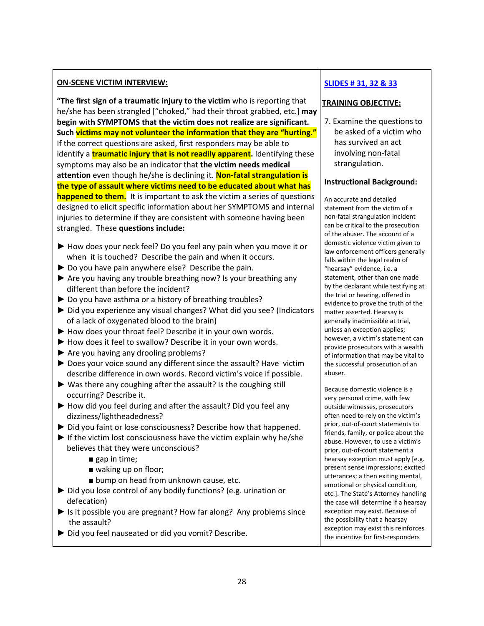#### ON-SCENE VICTIM INTERVIEW:

"The first sign of a traumatic injury to the victim who is reporting that he/she has been strangled ["choked," had their throat grabbed, etc.] may begin with SYMPTOMS that the victim does not realize are significant. Such victims may not volunteer the information that they are "hurting." If the correct questions are asked, first responders may be able to identify a **traumatic injury that is not readily apparent**. Identifying these symptoms may also be an indicator that the victim needs medical attention even though he/she is declining it. Non-fatal strangulation is the type of assault where victims need to be educated about what has happened to them. It is important to ask the victim a series of questions designed to elicit specific information about her SYMPTOMS and internal injuries to determine if they are consistent with someone having been strangled. These questions include:

- ► How does your neck feel? Do you feel any pain when you move it or when it is touched? Describe the pain and when it occurs.
- ► Do you have pain anywhere else? Describe the pain.
- ► Are you having any trouble breathing now? Is your breathing any different than before the incident?
- ► Do you have asthma or a history of breathing troubles?
- ► Did you experience any visual changes? What did you see? (Indicators of a lack of oxygenated blood to the brain)
- ► How does your throat feel? Describe it in your own words.
- ► How does it feel to swallow? Describe it in your own words.
- ► Are you having any drooling problems?
- ► Does your voice sound any different since the assault? Have victim describe difference in own words. Record victim's voice if possible.
- ► Was there any coughing after the assault? Is the coughing still occurring? Describe it.
- ► How did you feel during and after the assault? Did you feel any dizziness/lightheadedness?
- ► Did you faint or lose consciousness? Describe how that happened.
- $\blacktriangleright$  If the victim lost consciousness have the victim explain why he/she believes that they were unconscious?
	- gap in time;
	- waking up on floor;
	- bump on head from unknown cause, etc.
- ► Did you lose control of any bodily functions? (e.g. urination or defecation)
- ► Is it possible you are pregnant? How far along? Any problems since the assault?
- ► Did you feel nauseated or did you vomit? Describe.

# SLIDES # 31, 32 & 33

# TRAINING OBJECTIVE:

7. Examine the questions to be asked of a victim who has survived an act involving non-fatal strangulation.

#### Instructional Background:

An accurate and detailed statement from the victim of a non-fatal strangulation incident can be critical to the prosecution of the abuser. The account of a domestic violence victim given to law enforcement officers generally falls within the legal realm of "hearsay" evidence, i.e. a statement, other than one made by the declarant while testifying at the trial or hearing, offered in evidence to prove the truth of the matter asserted. Hearsay is generally inadmissible at trial, unless an exception applies; however, a victim's statement can provide prosecutors with a wealth of information that may be vital to the successful prosecution of an abuser.

Because domestic violence is a very personal crime, with few outside witnesses, prosecutors often need to rely on the victim's prior, out-of-court statements to friends, family, or police about the abuse. However, to use a victim's prior, out-of-court statement a hearsay exception must apply [e.g. present sense impressions; excited utterances; a then exiting mental, emotional or physical condition, etc.]. The State's Attorney handling the case will determine if a hearsay exception may exist. Because of the possibility that a hearsay exception may exist this reinforces the incentive for first-responders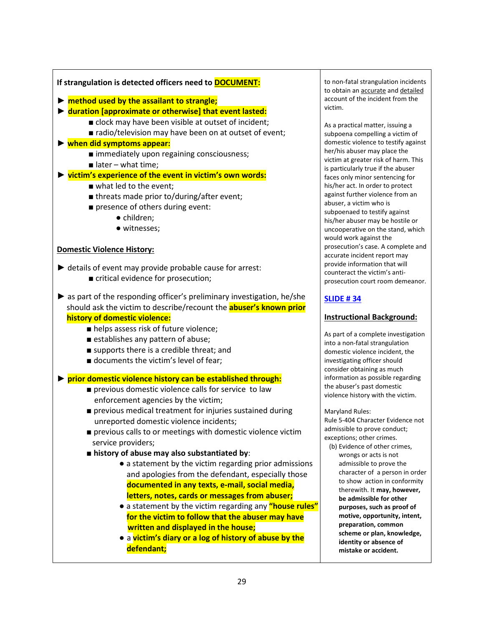#### If strangulation is detected officers need to **DOCUMENT:**

- $\triangleright$  method used by the assailant to strangle;
- ► duration [approximate or otherwise] that event lasted:
	- clock may have been visible at outset of incident;
	- radio/television may have been on at outset of event;

#### ► when did symptoms appear:

- immediately upon regaining consciousness;
- $\blacksquare$  later what time;

#### ► victim's experience of the event in victim's own words:

- what led to the event:
- threats made prior to/during/after event;
- presence of others during event:
	- children;
	- witnesses;

#### Domestic Violence History:

- $\blacktriangleright$  details of event may provide probable cause for arrest:
	- critical evidence for prosecution;
- $\triangleright$  as part of the responding officer's preliminary investigation, he/she should ask the victim to describe/recount the **abuser's known prior**  history of domestic violence:
	- helps assess risk of future violence;
	- establishes any pattern of abuse;
	- supports there is a credible threat; and
	- documents the victim's level of fear;

► prior domestic violence history can be established through:

- previous domestic violence calls for service to law enforcement agencies by the victim;
- previous medical treatment for injuries sustained during unreported domestic violence incidents;
- previous calls to or meetings with domestic violence victim service providers;
- history of abuse may also substantiated by:
	- a statement by the victim regarding prior admissions and apologies from the defendant, especially those documented in any texts, e-mail, social media, letters, notes, cards or messages from abuser;
	- a statement by the victim regarding any "house rules" for the victim to follow that the abuser may have written and displayed in the house;
	- a victim's diary or a log of history of abuse by the defendant;

to non-fatal strangulation incidents to obtain an **accurate** and detailed account of the incident from the victim.

As a practical matter, issuing a subpoena compelling a victim of domestic violence to testify against her/his abuser may place the victim at greater risk of harm. This is particularly true if the abuser faces only minor sentencing for his/her act. In order to protect against further violence from an abuser, a victim who is subpoenaed to testify against his/her abuser may be hostile or uncooperative on the stand, which would work against the prosecution's case. A complete and accurate incident report may provide information that will counteract the victim's antiprosecution court room demeanor.

# SLIDE # 34

#### Instructional Background:

As part of a complete investigation into a non-fatal strangulation domestic violence incident, the investigating officer should consider obtaining as much information as possible regarding the abuser's past domestic violence history with the victim.

Maryland Rules:

Rule 5-404 Character Evidence not admissible to prove conduct; exceptions; other crimes.

 (b) Evidence of other crimes, wrongs or acts is not admissible to prove the character of a person in order to show action in conformity therewith. It may, however, be admissible for other purposes, such as proof of motive, opportunity, intent, preparation, common scheme or plan, knowledge, identity or absence of mistake or accident.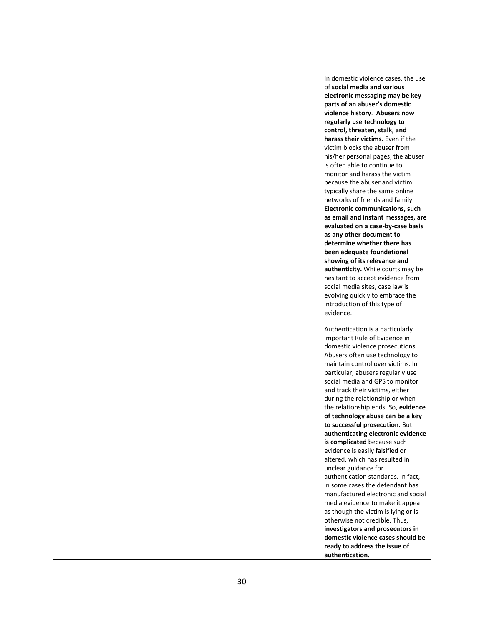In domestic violence cases, the use of social media and various electronic messaging may be key parts of an abuser's domestic violence history. Abusers now regularly use technology to control, threaten, stalk, and harass their victims. Even if the victim blocks the abuser from his/her personal pages, the abuser is often able to continue to monitor and harass the victim because the abuser and victim typically share the same online networks of friends and family. Electronic communications, such as email and instant messages, are evaluated on a case-by-case basis as any other document to determine whether there has been adequate foundational showing of its relevance and authenticity. While courts may be hesitant to accept evidence from social media sites, case law is evolving quickly to embrace the introduction of this type of evidence.

Authentication is a particularly important Rule of Evidence in domestic violence prosecutions. Abusers often use technology to maintain control over victims. In particular, abusers regularly use social media and GPS to monitor and track their victims, either during the relationship or when the relationship ends. So, evidence of technology abuse can be a key to successful prosecution. But authenticating electronic evidence is complicated because such evidence is easily falsified or altered, which has resulted in unclear guidance for authentication standards. In fact, in some cases the defendant has manufactured electronic and social media evidence to make it appear as though the victim is lying or is otherwise not credible. Thus, investigators and prosecutors in domestic violence cases should be ready to address the issue of authentication.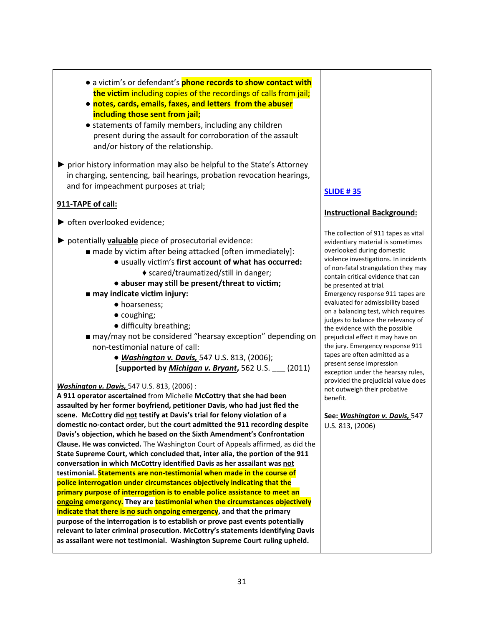- a victim's or defendant's **phone records to show contact with** the victim including copies of the recordings of calls from jail;
- notes, cards, emails, faxes, and letters from the abuser including those sent from jail;
- statements of family members, including any children present during the assault for corroboration of the assault and/or history of the relationship.
- ► prior history information may also be helpful to the State's Attorney in charging, sentencing, bail hearings, probation revocation hearings, and for impeachment purposes at trial;

# 911-TAPE of call:

- ► often overlooked evidence;
- $\triangleright$  potentially valuable piece of prosecutorial evidence:
	- made by victim after being attacked [often immediately]:
		- usually victim's first account of what has occurred: ♦ scared/traumatized/still in danger;
		- abuser may still be present/threat to victim;
	- may indicate victim injury:
		- hoarseness;
		- coughing;
		- difficulty breathing;
	- may/may not be considered "hearsay exception" depending on non-testimonial nature of call:
		- Washington v. Davis, 547 U.S. 813, (2006); [supported by *Michigan v. Bryant*, 562 U.S.  $\qquad$  (2011)

# **Washington v. Davis, 547 U.S. 813, (2006):**

A 911 operator ascertained from Michelle McCottry that she had been assaulted by her former boyfriend, petitioner Davis, who had just fled the scene. McCottry did not testify at Davis's trial for felony violation of a domestic no-contact order, but the court admitted the 911 recording despite Davis's objection, which he based on the Sixth Amendment's Confrontation Clause. He was convicted. The Washington Court of Appeals affirmed, as did the State Supreme Court, which concluded that, inter alia, the portion of the 911 conversation in which McCottry identified Davis as her assailant was not testimonial. Statements are non-testimonial when made in the course of police interrogation under circumstances objectively indicating that the primary purpose of interrogation is to enable police assistance to meet an ongoing emergency. They are testimonial when the circumstances objectively indicate that there is no such ongoing emergency, and that the primary purpose of the interrogation is to establish or prove past events potentially relevant to later criminal prosecution. McCottry's statements identifying Davis as assailant were not testimonial. Washington Supreme Court ruling upheld.

# SLIDE # 35

# Instructional Background:

The collection of 911 tapes as vital evidentiary material is sometimes overlooked during domestic violence investigations. In incidents of non-fatal strangulation they may contain critical evidence that can be presented at trial. Emergency response 911 tapes are evaluated for admissibility based on a balancing test, which requires judges to balance the relevancy of the evidence with the possible prejudicial effect it may have on the jury. Emergency response 911 tapes are often admitted as a present sense impression exception under the hearsay rules, provided the prejudicial value does not outweigh their probative benefit.

See: Washington v. Davis, 547 U.S. 813, (2006)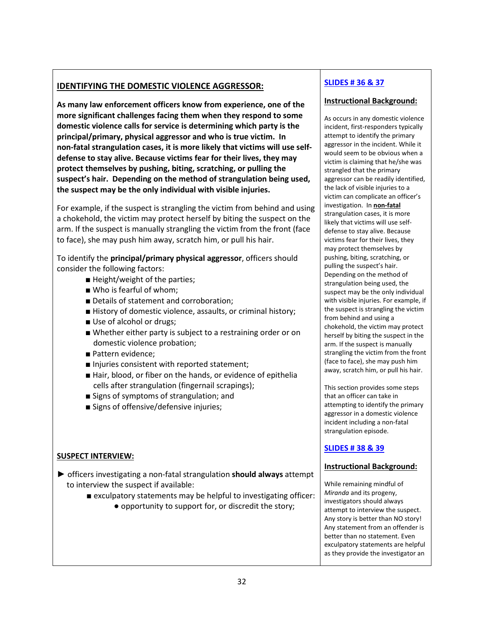# IDENTIFYING THE DOMESTIC VIOLENCE AGGRESSOR:

As many law enforcement officers know from experience, one of the more significant challenges facing them when they respond to some domestic violence calls for service is determining which party is the principal/primary, physical aggressor and who is true victim. In non-fatal strangulation cases, it is more likely that victims will use selfdefense to stay alive. Because victims fear for their lives, they may protect themselves by pushing, biting, scratching, or pulling the suspect's hair. Depending on the method of strangulation being used, the suspect may be the only individual with visible injuries.

For example, if the suspect is strangling the victim from behind and using a chokehold, the victim may protect herself by biting the suspect on the arm. If the suspect is manually strangling the victim from the front (face to face), she may push him away, scratch him, or pull his hair.

To identify the principal/primary physical aggressor, officers should consider the following factors:

- Height/weight of the parties;
- Who is fearful of whom;
- Details of statement and corroboration;
- History of domestic violence, assaults, or criminal history;
- Use of alcohol or drugs;
- Whether either party is subject to a restraining order or on domestic violence probation;
- Pattern evidence;
- Injuries consistent with reported statement;
- Hair, blood, or fiber on the hands, or evidence of epithelia cells after strangulation (fingernail scrapings);
- Signs of symptoms of strangulation; and
- Signs of offensive/defensive injuries;

# SUSPECT INTERVIEW:

- ► officers investigating a non-fatal strangulation should always attempt to interview the suspect if available:
	- exculpatory statements may be helpful to investigating officer: ● opportunity to support for, or discredit the story;

# SLIDES # 36 & 37

#### Instructional Background:

As occurs in any domestic violence incident, first-responders typically attempt to identify the primary aggressor in the incident. While it would seem to be obvious when a victim is claiming that he/she was strangled that the primary aggressor can be readily identified, the lack of visible injuries to a victim can complicate an officer's investigation. In non-fatal strangulation cases, it is more likely that victims will use selfdefense to stay alive. Because victims fear for their lives, they may protect themselves by pushing, biting, scratching, or pulling the suspect's hair. Depending on the method of strangulation being used, the suspect may be the only individual with visible injuries. For example, if the suspect is strangling the victim from behind and using a chokehold, the victim may protect herself by biting the suspect in the arm. If the suspect is manually strangling the victim from the front (face to face), she may push him away, scratch him, or pull his hair.

This section provides some steps that an officer can take in attempting to identify the primary aggressor in a domestic violence incident including a non-fatal strangulation episode.

# SLIDES # 38 & 39

#### Instructional Background:

While remaining mindful of Miranda and its progeny, investigators should always attempt to interview the suspect. Any story is better than NO story! Any statement from an offender is better than no statement. Even exculpatory statements are helpful as they provide the investigator an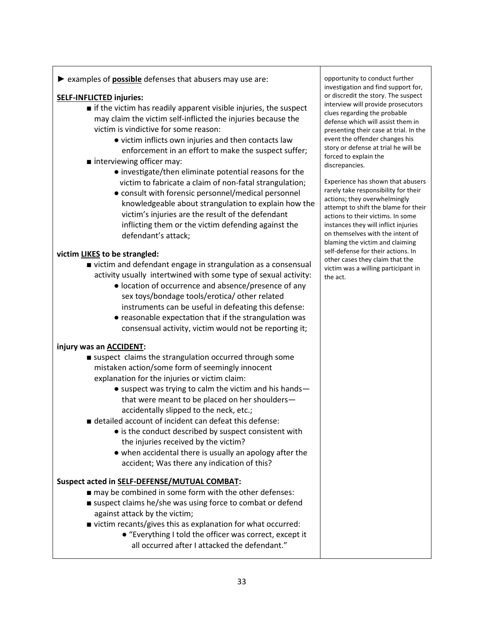► examples of **possible** defenses that abusers may use are:

# SELF-INFLICTED injuries:

- $\blacksquare$  if the victim has readily apparent visible injuries, the suspect may claim the victim self-inflicted the injuries because the victim is vindictive for some reason:
	- victim inflicts own injuries and then contacts law enforcement in an effort to make the suspect suffer;
- interviewing officer may:
	- investigate/then eliminate potential reasons for the victim to fabricate a claim of non-fatal strangulation;
	- consult with forensic personnel/medical personnel knowledgeable about strangulation to explain how the victim's injuries are the result of the defendant inflicting them or the victim defending against the defendant's attack;

# victim LIKES to be strangled:

- victim and defendant engage in strangulation as a consensual activity usually intertwined with some type of sexual activity:
	- location of occurrence and absence/presence of any sex toys/bondage tools/erotica/ other related instruments can be useful in defeating this defense:
	- $\bullet$  reasonable expectation that if the strangulation was consensual activity, victim would not be reporting it;

#### injury was an ACCIDENT:

- suspect claims the strangulation occurred through some mistaken action/some form of seemingly innocent explanation for the injuries or victim claim:
	- suspect was trying to calm the victim and his hands that were meant to be placed on her shoulders accidentally slipped to the neck, etc.;
- detailed account of incident can defeat this defense:
	- is the conduct described by suspect consistent with the injuries received by the victim?
	- when accidental there is usually an apology after the accident; Was there any indication of this?

#### Suspect acted in SELF-DEFENSE/MUTUAL COMBAT:

- may be combined in some form with the other defenses:
- suspect claims he/she was using force to combat or defend against attack by the victim;
- victim recants/gives this as explanation for what occurred:
	- "Everything I told the officer was correct, except it all occurred after I attacked the defendant."

opportunity to conduct further investigation and find support for, or discredit the story. The suspect interview will provide prosecutors clues regarding the probable defense which will assist them in presenting their case at trial. In the event the offender changes his story or defense at trial he will be forced to explain the discrepancies.

Experience has shown that abusers rarely take responsibility for their actions; they overwhelmingly attempt to shift the blame for their actions to their victims. In some instances they will inflict injuries on themselves with the intent of blaming the victim and claiming self-defense for their actions. In other cases they claim that the victim was a willing participant in the act.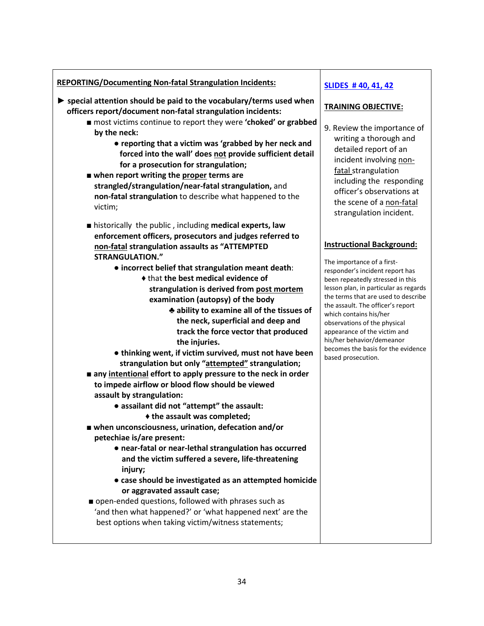# REPORTING/Documenting Non-fatal Strangulation Incidents:

- $\triangleright$  special attention should be paid to the vocabulary/terms used when officers report/document non-fatal strangulation incidents:
	- most victims continue to report they were **'choked' or grabbed**  by the neck:
		- reporting that a victim was 'grabbed by her neck and forced into the wall' does not provide sufficient detail for a prosecution for strangulation;
	- $\blacksquare$  when report writing the proper terms are strangled/strangulation/near-fatal strangulation, and non-fatal strangulation to describe what happened to the victim;
	- historically the public, including medical experts, law enforcement officers, prosecutors and judges referred to non-fatal strangulation assaults as "ATTEMPTED STRANGULATION."
		- incorrect belief that strangulation meant death:
			- ♦ that the best medical evidence of strangulation is derived from post mortem examination (autopsy) of the body
				- ♣ ability to examine all of the tissues of the neck, superficial and deep and track the force vector that produced the injuries.
		- thinking went, if victim survived, must not have been strangulation but only "attempted" strangulation;
	- any intentional effort to apply pressure to the neck in order to impede airflow or blood flow should be viewed assault by strangulation:
		- assailant did not "attempt" the assault:
			- ♦ the assault was completed;
	- when unconsciousness, urination, defecation and/or petechiae is/are present:
		- near-fatal or near-lethal strangulation has occurred and the victim suffered a severe, life-threatening injury;
		- case should be investigated as an attempted homicide or aggravated assault case;
	- open-ended questions, followed with phrases such as 'and then what happened?' or 'what happened next' are the best options when taking victim/witness statements;

# SLIDES # 40, 41, 42

# TRAINING OBJECTIVE:

9. Review the importance of writing a thorough and detailed report of an incident involving non fatal strangulation including the responding officer's observations at the scene of a non-fatal strangulation incident.

# Instructional Background:

The importance of a firstresponder's incident report has been repeatedly stressed in this lesson plan, in particular as regards the terms that are used to describe the assault. The officer's report which contains his/her observations of the physical appearance of the victim and his/her behavior/demeanor becomes the basis for the evidence based prosecution.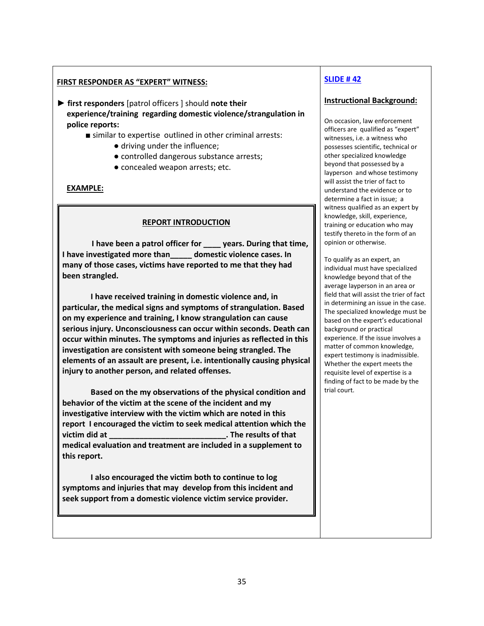#### FIRST RESPONDER AS "EXPERT" WITNESS:

► first responders [patrol officers ] should note their experience/training regarding domestic violence/strangulation in police reports:

- similar to expertise outlined in other criminal arrests:
	- driving under the influence;
	- controlled dangerous substance arrests;
	- concealed weapon arrests; etc.

#### EXAMPLE:

#### REPORT INTRODUCTION

I have been a patrol officer for years. During that time, I have investigated more than domestic violence cases. In many of those cases, victims have reported to me that they had been strangled.

 I have received training in domestic violence and, in particular, the medical signs and symptoms of strangulation. Based on my experience and training, I know strangulation can cause serious injury. Unconsciousness can occur within seconds. Death can occur within minutes. The symptoms and injuries as reflected in this investigation are consistent with someone being strangled. The elements of an assault are present, i.e. intentionally causing physical injury to another person, and related offenses.

Based on the my observations of the physical condition and behavior of the victim at the scene of the incident and my investigative interview with the victim which are noted in this report I encouraged the victim to seek medical attention which the victim did at \_\_\_\_\_\_\_\_\_\_\_\_\_\_\_\_\_\_\_\_\_\_\_\_\_\_\_. The results of that medical evaluation and treatment are included in a supplement to this report.

 I also encouraged the victim both to continue to log symptoms and injuries that may develop from this incident and seek support from a domestic violence victim service provider.

# SLIDE # 42

#### Instructional Background:

On occasion, law enforcement officers are qualified as "expert" witnesses, i.e. a witness who possesses scientific, technical or other specialized knowledge beyond that possessed by a layperson and whose testimony will assist the trier of fact to understand the evidence or to determine a fact in issue; a witness qualified as an expert by knowledge, skill, experience, training or education who may testify thereto in the form of an opinion or otherwise.

To qualify as an expert, an individual must have specialized knowledge beyond that of the average layperson in an area or field that will assist the trier of fact in determining an issue in the case. The specialized knowledge must be based on the expert's educational background or practical experience. If the issue involves a matter of common knowledge, expert testimony is inadmissible. Whether the expert meets the requisite level of expertise is a finding of fact to be made by the trial court.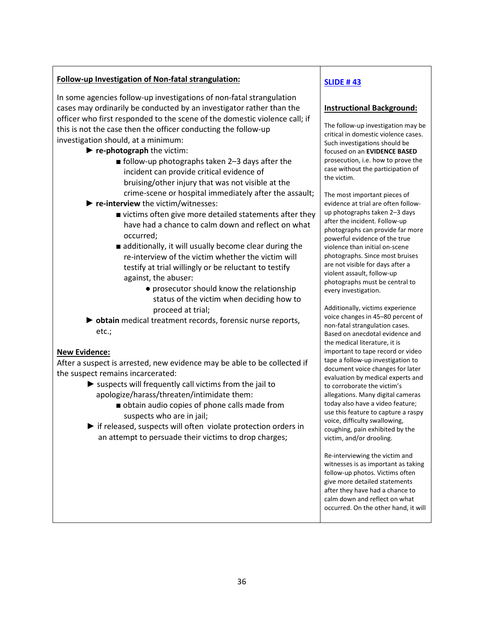#### Follow-up Investigation of Non-fatal strangulation:

In some agencies follow-up investigations of non-fatal strangulation cases may ordinarily be conducted by an investigator rather than the officer who first responded to the scene of the domestic violence call; if this is not the case then the officer conducting the follow-up investigation should, at a minimum:

- $\blacktriangleright$  re-photograph the victim:
	- follow-up photographs taken 2–3 days after the incident can provide critical evidence of bruising/other injury that was not visible at the crime-scene or hospital immediately after the assault;
- ▶ re-interview the victim/witnesses:
	- victims often give more detailed statements after they have had a chance to calm down and reflect on what occurred;
	- additionally, it will usually become clear during the re-interview of the victim whether the victim will testify at trial willingly or be reluctant to testify against, the abuser:
		- prosecutor should know the relationship status of the victim when deciding how to proceed at trial;
- ► obtain medical treatment records, forensic nurse reports, etc.;

#### New Evidence:

After a suspect is arrested, new evidence may be able to be collected if the suspect remains incarcerated:

- $\blacktriangleright$  suspects will frequently call victims from the jail to apologize/harass/threaten/intimidate them:
	- obtain audio copies of phone calls made from suspects who are in jail;
- ► if released, suspects will often violate protection orders in an attempt to persuade their victims to drop charges;

# SLIDE # 43

#### Instructional Background:

The follow-up investigation may be critical in domestic violence cases. Such investigations should be focused on an EVIDENCE BASED prosecution, i.e. how to prove the case without the participation of the victim.

The most important pieces of evidence at trial are often followup photographs taken 2–3 days after the incident. Follow-up photographs can provide far more powerful evidence of the true violence than initial on-scene photographs. Since most bruises are not visible for days after a violent assault, follow-up photographs must be central to every investigation.

Additionally, victims experience voice changes in 45–80 percent of non-fatal strangulation cases. Based on anecdotal evidence and the medical literature, it is important to tape record or video tape a follow-up investigation to document voice changes for later evaluation by medical experts and to corroborate the victim's allegations. Many digital cameras today also have a video feature; use this feature to capture a raspy voice, difficulty swallowing, coughing, pain exhibited by the victim, and/or drooling.

Re-interviewing the victim and witnesses is as important as taking follow-up photos. Victims often give more detailed statements after they have had a chance to calm down and reflect on what occurred. On the other hand, it will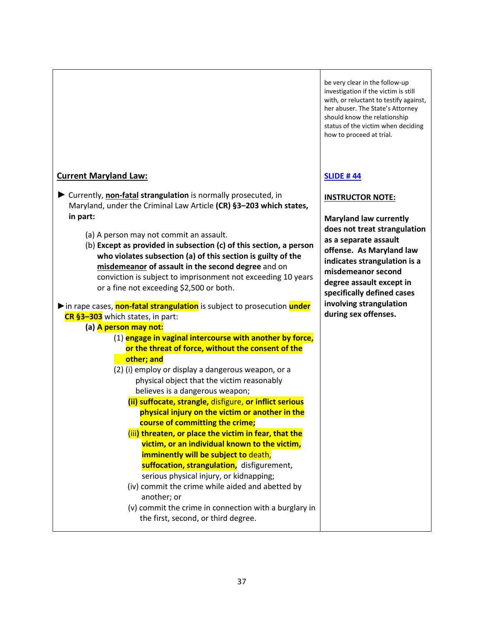# Current Maryland Law:

- ► Currently, non-fatal strangulation is normally prosecuted, in Maryland, under the Criminal Law Article (CR) §3–203 which states, in part:
	- (a) A person may not commit an assault.
	- (b) Except as provided in subsection (c) of this section, a person who violates subsection (a) of this section is guilty of the misdemeanor of assault in the second degree and on conviction is subject to imprisonment not exceeding 10 years or a fine not exceeding \$2,500 or both.

► in rape cases, non-fatal strangulation is subject to prosecution under CR §3–303 which states, in part:

(a) **A person may not:** 

- (1) engage in vaginal intercourse with another by force, or the threat of force, without the consent of the other; and
- (2) (i) employ or display a dangerous weapon, or a physical object that the victim reasonably believes is a dangerous weapon;
	- (ii) suffocate, strangle, disfigure, or inflict serious physical injury on the victim or another in the course of committing the crime;
	- (iii) threaten, or place the victim in fear, that the victim, or an individual known to the victim, imminently will be subject to death, suffocation, strangulation, disfigurement, serious physical injury, or kidnapping;
	- (iv) commit the crime while aided and abetted by another; or
	- (v) commit the crime in connection with a burglary in the first, second, or third degree.

be very clear in the follow-up investigation if the victim is still with, or reluctant to testify against, her abuser. The State's Attorney should know the relationship status of the victim when deciding how to proceed at trial.

# SLIDE # 44

# INSTRUCTOR NOTE:

Maryland law currently does not treat strangulation as a separate assault offense. As Maryland law indicates strangulation is a misdemeanor second degree assault except in specifically defined cases involving strangulation during sex offenses.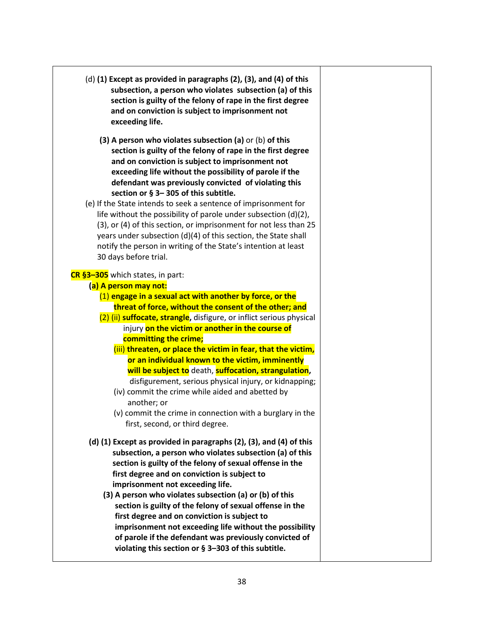| $(d)$ (1) Except as provided in paragraphs (2), (3), and (4) of this<br>subsection, a person who violates subsection (a) of this<br>section is guilty of the felony of rape in the first degree<br>and on conviction is subject to imprisonment not<br>exceeding life.                                                                                                                                   |  |
|----------------------------------------------------------------------------------------------------------------------------------------------------------------------------------------------------------------------------------------------------------------------------------------------------------------------------------------------------------------------------------------------------------|--|
| (3) A person who violates subsection (a) or (b) of this<br>section is guilty of the felony of rape in the first degree<br>and on conviction is subject to imprisonment not<br>exceeding life without the possibility of parole if the<br>defendant was previously convicted of violating this<br>section or § 3-305 of this subtitle.<br>(e) If the State intends to seek a sentence of imprisonment for |  |
| life without the possibility of parole under subsection $(d)(2)$ ,<br>(3), or (4) of this section, or imprisonment for not less than 25<br>years under subsection (d)(4) of this section, the State shall<br>notify the person in writing of the State's intention at least<br>30 days before trial.                                                                                                     |  |
| CR §3-305 which states, in part:                                                                                                                                                                                                                                                                                                                                                                         |  |
| (a) A person may not:                                                                                                                                                                                                                                                                                                                                                                                    |  |
| $(1)$ engage in a sexual act with another by force, or the                                                                                                                                                                                                                                                                                                                                               |  |
| threat of force, without the consent of the other; and                                                                                                                                                                                                                                                                                                                                                   |  |
| (2) (ii) suffocate, strangle, disfigure, or inflict serious physical                                                                                                                                                                                                                                                                                                                                     |  |
| injury on the victim or another in the course of                                                                                                                                                                                                                                                                                                                                                         |  |
| committing the crime;                                                                                                                                                                                                                                                                                                                                                                                    |  |
| (iii) threaten, or place the victim in fear, that the victim,                                                                                                                                                                                                                                                                                                                                            |  |
| or an individual known to the victim, imminently<br>will be subject to death, suffocation, strangulation,<br>disfigurement, serious physical injury, or kidnapping;<br>(iv) commit the crime while aided and abetted by<br>another; or                                                                                                                                                                   |  |
| (v) commit the crime in connection with a burglary in the<br>first, second, or third degree.                                                                                                                                                                                                                                                                                                             |  |
| (d) (1) Except as provided in paragraphs (2), (3), and (4) of this<br>subsection, a person who violates subsection (a) of this<br>section is guilty of the felony of sexual offense in the<br>first degree and on conviction is subject to<br>imprisonment not exceeding life.                                                                                                                           |  |
| (3) A person who violates subsection (a) or (b) of this<br>section is guilty of the felony of sexual offense in the<br>first degree and on conviction is subject to<br>imprisonment not exceeding life without the possibility<br>of parole if the defendant was previously convicted of<br>violating this section or $\S$ 3-303 of this subtitle.                                                       |  |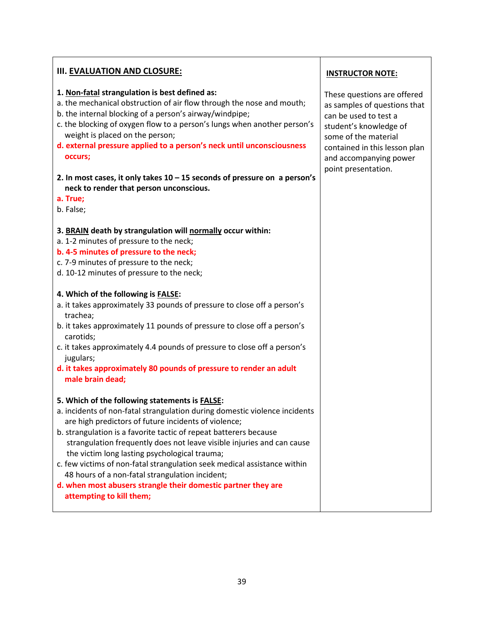| III. EVALUATION AND CLOSURE:                                                                                                                                                                                                                                                                                                                                                                                                                                                                                                                                                                                     | <b>INSTRUCTOR NOTE:</b>                                                                                                                                                                                                  |
|------------------------------------------------------------------------------------------------------------------------------------------------------------------------------------------------------------------------------------------------------------------------------------------------------------------------------------------------------------------------------------------------------------------------------------------------------------------------------------------------------------------------------------------------------------------------------------------------------------------|--------------------------------------------------------------------------------------------------------------------------------------------------------------------------------------------------------------------------|
| 1. Non-fatal strangulation is best defined as:<br>a. the mechanical obstruction of air flow through the nose and mouth;<br>b. the internal blocking of a person's airway/windpipe;<br>c. the blocking of oxygen flow to a person's lungs when another person's<br>weight is placed on the person;<br>d. external pressure applied to a person's neck until unconsciousness<br>occurs;<br>2. In most cases, it only takes $10 - 15$ seconds of pressure on a person's<br>neck to render that person unconscious.                                                                                                  | These questions are offered<br>as samples of questions that<br>can be used to test a<br>student's knowledge of<br>some of the material<br>contained in this lesson plan<br>and accompanying power<br>point presentation. |
| a. True;<br>b. False;                                                                                                                                                                                                                                                                                                                                                                                                                                                                                                                                                                                            |                                                                                                                                                                                                                          |
| 3. BRAIN death by strangulation will normally occur within:<br>a. 1-2 minutes of pressure to the neck;<br>b. 4-5 minutes of pressure to the neck;<br>c. 7-9 minutes of pressure to the neck;<br>d. 10-12 minutes of pressure to the neck;                                                                                                                                                                                                                                                                                                                                                                        |                                                                                                                                                                                                                          |
| 4. Which of the following is FALSE:<br>a. it takes approximately 33 pounds of pressure to close off a person's<br>trachea;<br>b. it takes approximately 11 pounds of pressure to close off a person's<br>carotids;<br>c. it takes approximately 4.4 pounds of pressure to close off a person's<br>jugulars;<br>d. it takes approximately 80 pounds of pressure to render an adult<br>male brain dead;                                                                                                                                                                                                            |                                                                                                                                                                                                                          |
| 5. Which of the following statements is FALSE:<br>a. incidents of non-fatal strangulation during domestic violence incidents<br>are high predictors of future incidents of violence;<br>b. strangulation is a favorite tactic of repeat batterers because<br>strangulation frequently does not leave visible injuries and can cause<br>the victim long lasting psychological trauma;<br>c. few victims of non-fatal strangulation seek medical assistance within<br>48 hours of a non-fatal strangulation incident;<br>d. when most abusers strangle their domestic partner they are<br>attempting to kill them; |                                                                                                                                                                                                                          |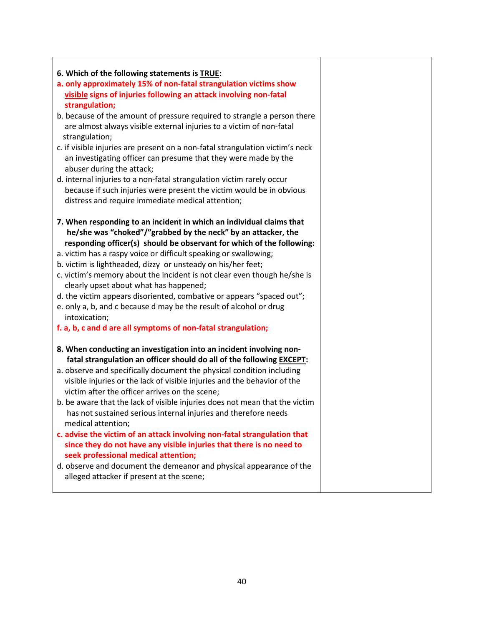| 6. Which of the following statements is TRUE:<br>a. only approximately 15% of non-fatal strangulation victims show<br>visible signs of injuries following an attack involving non-fatal<br>strangulation;<br>b. because of the amount of pressure required to strangle a person there<br>are almost always visible external injuries to a victim of non-fatal<br>strangulation;<br>c. if visible injuries are present on a non-fatal strangulation victim's neck<br>an investigating officer can presume that they were made by the<br>abuser during the attack;<br>d. internal injuries to a non-fatal strangulation victim rarely occur<br>because if such injuries were present the victim would be in obvious<br>distress and require immediate medical attention;<br>7. When responding to an incident in which an individual claims that<br>he/she was "choked"/"grabbed by the neck" by an attacker, the<br>responding officer(s) should be observant for which of the following:<br>a. victim has a raspy voice or difficult speaking or swallowing;<br>b. victim is lightheaded, dizzy or unsteady on his/her feet;<br>c. victim's memory about the incident is not clear even though he/she is<br>clearly upset about what has happened;<br>d. the victim appears disoriented, combative or appears "spaced out";<br>e. only a, b, and c because d may be the result of alcohol or drug<br>intoxication;<br>f. a, b, c and d are all symptoms of non-fatal strangulation;<br>8. When conducting an investigation into an incident involving non-<br>fatal strangulation an officer should do all of the following EXCEPT:<br>a. observe and specifically document the physical condition including<br>visible injuries or the lack of visible injuries and the behavior of the<br>victim after the officer arrives on the scene;<br>b. be aware that the lack of visible injuries does not mean that the victim<br>has not sustained serious internal injuries and therefore needs<br>medical attention;<br>c. advise the victim of an attack involving non-fatal strangulation that<br>since they do not have any visible injuries that there is no need to<br>seek professional medical attention;<br>d. observe and document the demeanor and physical appearance of the<br>alleged attacker if present at the scene; |  |
|------------------------------------------------------------------------------------------------------------------------------------------------------------------------------------------------------------------------------------------------------------------------------------------------------------------------------------------------------------------------------------------------------------------------------------------------------------------------------------------------------------------------------------------------------------------------------------------------------------------------------------------------------------------------------------------------------------------------------------------------------------------------------------------------------------------------------------------------------------------------------------------------------------------------------------------------------------------------------------------------------------------------------------------------------------------------------------------------------------------------------------------------------------------------------------------------------------------------------------------------------------------------------------------------------------------------------------------------------------------------------------------------------------------------------------------------------------------------------------------------------------------------------------------------------------------------------------------------------------------------------------------------------------------------------------------------------------------------------------------------------------------------------------------------------------------------------------------------------------------------------------------------------------------------------------------------------------------------------------------------------------------------------------------------------------------------------------------------------------------------------------------------------------------------------------------------------------------------------------------------------------------------------------------------------------------------------------|--|
|                                                                                                                                                                                                                                                                                                                                                                                                                                                                                                                                                                                                                                                                                                                                                                                                                                                                                                                                                                                                                                                                                                                                                                                                                                                                                                                                                                                                                                                                                                                                                                                                                                                                                                                                                                                                                                                                                                                                                                                                                                                                                                                                                                                                                                                                                                                                    |  |
|                                                                                                                                                                                                                                                                                                                                                                                                                                                                                                                                                                                                                                                                                                                                                                                                                                                                                                                                                                                                                                                                                                                                                                                                                                                                                                                                                                                                                                                                                                                                                                                                                                                                                                                                                                                                                                                                                                                                                                                                                                                                                                                                                                                                                                                                                                                                    |  |
|                                                                                                                                                                                                                                                                                                                                                                                                                                                                                                                                                                                                                                                                                                                                                                                                                                                                                                                                                                                                                                                                                                                                                                                                                                                                                                                                                                                                                                                                                                                                                                                                                                                                                                                                                                                                                                                                                                                                                                                                                                                                                                                                                                                                                                                                                                                                    |  |
|                                                                                                                                                                                                                                                                                                                                                                                                                                                                                                                                                                                                                                                                                                                                                                                                                                                                                                                                                                                                                                                                                                                                                                                                                                                                                                                                                                                                                                                                                                                                                                                                                                                                                                                                                                                                                                                                                                                                                                                                                                                                                                                                                                                                                                                                                                                                    |  |
|                                                                                                                                                                                                                                                                                                                                                                                                                                                                                                                                                                                                                                                                                                                                                                                                                                                                                                                                                                                                                                                                                                                                                                                                                                                                                                                                                                                                                                                                                                                                                                                                                                                                                                                                                                                                                                                                                                                                                                                                                                                                                                                                                                                                                                                                                                                                    |  |
|                                                                                                                                                                                                                                                                                                                                                                                                                                                                                                                                                                                                                                                                                                                                                                                                                                                                                                                                                                                                                                                                                                                                                                                                                                                                                                                                                                                                                                                                                                                                                                                                                                                                                                                                                                                                                                                                                                                                                                                                                                                                                                                                                                                                                                                                                                                                    |  |
|                                                                                                                                                                                                                                                                                                                                                                                                                                                                                                                                                                                                                                                                                                                                                                                                                                                                                                                                                                                                                                                                                                                                                                                                                                                                                                                                                                                                                                                                                                                                                                                                                                                                                                                                                                                                                                                                                                                                                                                                                                                                                                                                                                                                                                                                                                                                    |  |
|                                                                                                                                                                                                                                                                                                                                                                                                                                                                                                                                                                                                                                                                                                                                                                                                                                                                                                                                                                                                                                                                                                                                                                                                                                                                                                                                                                                                                                                                                                                                                                                                                                                                                                                                                                                                                                                                                                                                                                                                                                                                                                                                                                                                                                                                                                                                    |  |
|                                                                                                                                                                                                                                                                                                                                                                                                                                                                                                                                                                                                                                                                                                                                                                                                                                                                                                                                                                                                                                                                                                                                                                                                                                                                                                                                                                                                                                                                                                                                                                                                                                                                                                                                                                                                                                                                                                                                                                                                                                                                                                                                                                                                                                                                                                                                    |  |
|                                                                                                                                                                                                                                                                                                                                                                                                                                                                                                                                                                                                                                                                                                                                                                                                                                                                                                                                                                                                                                                                                                                                                                                                                                                                                                                                                                                                                                                                                                                                                                                                                                                                                                                                                                                                                                                                                                                                                                                                                                                                                                                                                                                                                                                                                                                                    |  |
|                                                                                                                                                                                                                                                                                                                                                                                                                                                                                                                                                                                                                                                                                                                                                                                                                                                                                                                                                                                                                                                                                                                                                                                                                                                                                                                                                                                                                                                                                                                                                                                                                                                                                                                                                                                                                                                                                                                                                                                                                                                                                                                                                                                                                                                                                                                                    |  |
|                                                                                                                                                                                                                                                                                                                                                                                                                                                                                                                                                                                                                                                                                                                                                                                                                                                                                                                                                                                                                                                                                                                                                                                                                                                                                                                                                                                                                                                                                                                                                                                                                                                                                                                                                                                                                                                                                                                                                                                                                                                                                                                                                                                                                                                                                                                                    |  |
|                                                                                                                                                                                                                                                                                                                                                                                                                                                                                                                                                                                                                                                                                                                                                                                                                                                                                                                                                                                                                                                                                                                                                                                                                                                                                                                                                                                                                                                                                                                                                                                                                                                                                                                                                                                                                                                                                                                                                                                                                                                                                                                                                                                                                                                                                                                                    |  |
|                                                                                                                                                                                                                                                                                                                                                                                                                                                                                                                                                                                                                                                                                                                                                                                                                                                                                                                                                                                                                                                                                                                                                                                                                                                                                                                                                                                                                                                                                                                                                                                                                                                                                                                                                                                                                                                                                                                                                                                                                                                                                                                                                                                                                                                                                                                                    |  |
|                                                                                                                                                                                                                                                                                                                                                                                                                                                                                                                                                                                                                                                                                                                                                                                                                                                                                                                                                                                                                                                                                                                                                                                                                                                                                                                                                                                                                                                                                                                                                                                                                                                                                                                                                                                                                                                                                                                                                                                                                                                                                                                                                                                                                                                                                                                                    |  |
|                                                                                                                                                                                                                                                                                                                                                                                                                                                                                                                                                                                                                                                                                                                                                                                                                                                                                                                                                                                                                                                                                                                                                                                                                                                                                                                                                                                                                                                                                                                                                                                                                                                                                                                                                                                                                                                                                                                                                                                                                                                                                                                                                                                                                                                                                                                                    |  |
|                                                                                                                                                                                                                                                                                                                                                                                                                                                                                                                                                                                                                                                                                                                                                                                                                                                                                                                                                                                                                                                                                                                                                                                                                                                                                                                                                                                                                                                                                                                                                                                                                                                                                                                                                                                                                                                                                                                                                                                                                                                                                                                                                                                                                                                                                                                                    |  |
|                                                                                                                                                                                                                                                                                                                                                                                                                                                                                                                                                                                                                                                                                                                                                                                                                                                                                                                                                                                                                                                                                                                                                                                                                                                                                                                                                                                                                                                                                                                                                                                                                                                                                                                                                                                                                                                                                                                                                                                                                                                                                                                                                                                                                                                                                                                                    |  |
|                                                                                                                                                                                                                                                                                                                                                                                                                                                                                                                                                                                                                                                                                                                                                                                                                                                                                                                                                                                                                                                                                                                                                                                                                                                                                                                                                                                                                                                                                                                                                                                                                                                                                                                                                                                                                                                                                                                                                                                                                                                                                                                                                                                                                                                                                                                                    |  |
|                                                                                                                                                                                                                                                                                                                                                                                                                                                                                                                                                                                                                                                                                                                                                                                                                                                                                                                                                                                                                                                                                                                                                                                                                                                                                                                                                                                                                                                                                                                                                                                                                                                                                                                                                                                                                                                                                                                                                                                                                                                                                                                                                                                                                                                                                                                                    |  |
|                                                                                                                                                                                                                                                                                                                                                                                                                                                                                                                                                                                                                                                                                                                                                                                                                                                                                                                                                                                                                                                                                                                                                                                                                                                                                                                                                                                                                                                                                                                                                                                                                                                                                                                                                                                                                                                                                                                                                                                                                                                                                                                                                                                                                                                                                                                                    |  |
|                                                                                                                                                                                                                                                                                                                                                                                                                                                                                                                                                                                                                                                                                                                                                                                                                                                                                                                                                                                                                                                                                                                                                                                                                                                                                                                                                                                                                                                                                                                                                                                                                                                                                                                                                                                                                                                                                                                                                                                                                                                                                                                                                                                                                                                                                                                                    |  |
|                                                                                                                                                                                                                                                                                                                                                                                                                                                                                                                                                                                                                                                                                                                                                                                                                                                                                                                                                                                                                                                                                                                                                                                                                                                                                                                                                                                                                                                                                                                                                                                                                                                                                                                                                                                                                                                                                                                                                                                                                                                                                                                                                                                                                                                                                                                                    |  |
|                                                                                                                                                                                                                                                                                                                                                                                                                                                                                                                                                                                                                                                                                                                                                                                                                                                                                                                                                                                                                                                                                                                                                                                                                                                                                                                                                                                                                                                                                                                                                                                                                                                                                                                                                                                                                                                                                                                                                                                                                                                                                                                                                                                                                                                                                                                                    |  |
|                                                                                                                                                                                                                                                                                                                                                                                                                                                                                                                                                                                                                                                                                                                                                                                                                                                                                                                                                                                                                                                                                                                                                                                                                                                                                                                                                                                                                                                                                                                                                                                                                                                                                                                                                                                                                                                                                                                                                                                                                                                                                                                                                                                                                                                                                                                                    |  |
|                                                                                                                                                                                                                                                                                                                                                                                                                                                                                                                                                                                                                                                                                                                                                                                                                                                                                                                                                                                                                                                                                                                                                                                                                                                                                                                                                                                                                                                                                                                                                                                                                                                                                                                                                                                                                                                                                                                                                                                                                                                                                                                                                                                                                                                                                                                                    |  |
|                                                                                                                                                                                                                                                                                                                                                                                                                                                                                                                                                                                                                                                                                                                                                                                                                                                                                                                                                                                                                                                                                                                                                                                                                                                                                                                                                                                                                                                                                                                                                                                                                                                                                                                                                                                                                                                                                                                                                                                                                                                                                                                                                                                                                                                                                                                                    |  |
|                                                                                                                                                                                                                                                                                                                                                                                                                                                                                                                                                                                                                                                                                                                                                                                                                                                                                                                                                                                                                                                                                                                                                                                                                                                                                                                                                                                                                                                                                                                                                                                                                                                                                                                                                                                                                                                                                                                                                                                                                                                                                                                                                                                                                                                                                                                                    |  |
|                                                                                                                                                                                                                                                                                                                                                                                                                                                                                                                                                                                                                                                                                                                                                                                                                                                                                                                                                                                                                                                                                                                                                                                                                                                                                                                                                                                                                                                                                                                                                                                                                                                                                                                                                                                                                                                                                                                                                                                                                                                                                                                                                                                                                                                                                                                                    |  |
|                                                                                                                                                                                                                                                                                                                                                                                                                                                                                                                                                                                                                                                                                                                                                                                                                                                                                                                                                                                                                                                                                                                                                                                                                                                                                                                                                                                                                                                                                                                                                                                                                                                                                                                                                                                                                                                                                                                                                                                                                                                                                                                                                                                                                                                                                                                                    |  |
|                                                                                                                                                                                                                                                                                                                                                                                                                                                                                                                                                                                                                                                                                                                                                                                                                                                                                                                                                                                                                                                                                                                                                                                                                                                                                                                                                                                                                                                                                                                                                                                                                                                                                                                                                                                                                                                                                                                                                                                                                                                                                                                                                                                                                                                                                                                                    |  |
|                                                                                                                                                                                                                                                                                                                                                                                                                                                                                                                                                                                                                                                                                                                                                                                                                                                                                                                                                                                                                                                                                                                                                                                                                                                                                                                                                                                                                                                                                                                                                                                                                                                                                                                                                                                                                                                                                                                                                                                                                                                                                                                                                                                                                                                                                                                                    |  |
|                                                                                                                                                                                                                                                                                                                                                                                                                                                                                                                                                                                                                                                                                                                                                                                                                                                                                                                                                                                                                                                                                                                                                                                                                                                                                                                                                                                                                                                                                                                                                                                                                                                                                                                                                                                                                                                                                                                                                                                                                                                                                                                                                                                                                                                                                                                                    |  |
|                                                                                                                                                                                                                                                                                                                                                                                                                                                                                                                                                                                                                                                                                                                                                                                                                                                                                                                                                                                                                                                                                                                                                                                                                                                                                                                                                                                                                                                                                                                                                                                                                                                                                                                                                                                                                                                                                                                                                                                                                                                                                                                                                                                                                                                                                                                                    |  |
|                                                                                                                                                                                                                                                                                                                                                                                                                                                                                                                                                                                                                                                                                                                                                                                                                                                                                                                                                                                                                                                                                                                                                                                                                                                                                                                                                                                                                                                                                                                                                                                                                                                                                                                                                                                                                                                                                                                                                                                                                                                                                                                                                                                                                                                                                                                                    |  |
|                                                                                                                                                                                                                                                                                                                                                                                                                                                                                                                                                                                                                                                                                                                                                                                                                                                                                                                                                                                                                                                                                                                                                                                                                                                                                                                                                                                                                                                                                                                                                                                                                                                                                                                                                                                                                                                                                                                                                                                                                                                                                                                                                                                                                                                                                                                                    |  |
|                                                                                                                                                                                                                                                                                                                                                                                                                                                                                                                                                                                                                                                                                                                                                                                                                                                                                                                                                                                                                                                                                                                                                                                                                                                                                                                                                                                                                                                                                                                                                                                                                                                                                                                                                                                                                                                                                                                                                                                                                                                                                                                                                                                                                                                                                                                                    |  |